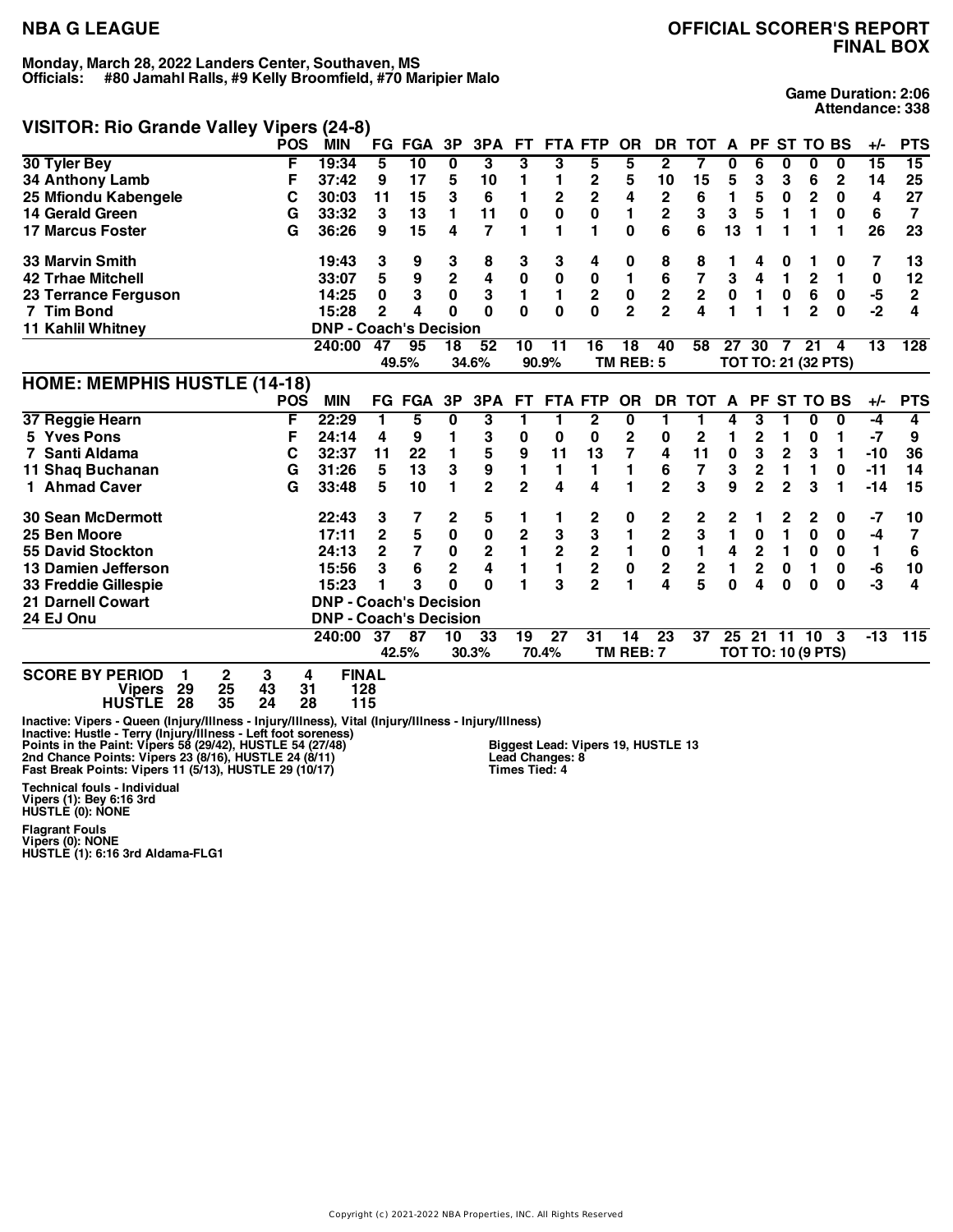# **VISITOR: Rio Grande Valley Vipers (24-8)**

**Game Duration: 2:06 Attendance: 338**

| $\frac{1}{2}$ is not the change valley vipers (270) |            |                               |                         |                 |             |                         |                |                         |                         |                |                         |                         |                |                |                |                           |                     |                 |                |
|-----------------------------------------------------|------------|-------------------------------|-------------------------|-----------------|-------------|-------------------------|----------------|-------------------------|-------------------------|----------------|-------------------------|-------------------------|----------------|----------------|----------------|---------------------------|---------------------|-----------------|----------------|
|                                                     | <b>POS</b> | <b>MIN</b>                    | FG.                     | FGA 3P          |             | 3PA                     | <b>FT</b>      |                         | <b>FTA FTP</b>          | <b>OR</b>      | DR.                     | <b>TOT</b>              | A              | <b>PF</b>      |                | ST TO BS                  |                     | +/-             | <b>PTS</b>     |
| 30 Tyler Bey                                        | F          | 19:34                         | 5                       | $\overline{10}$ | 0           | 3                       | 3              | 3                       | 5                       | 5              | $\mathbf{2}$            | 7                       | 0              | 6              | 0              | 0                         | 0                   | $\overline{15}$ | 15             |
| <b>34 Anthony Lamb</b>                              | F          | 37:42                         | 9                       | 17              | 5           | 10                      |                | 1                       | 2                       | 5              | 10                      | 15                      | 5              | 3              | 3              | 6                         | $\mathbf 2$         | 14              | 25             |
| 25 Mfiondu Kabengele                                | С          | 30:03                         | 11                      | 15              | 3           | 6                       | 1              | $\overline{2}$          | $\overline{2}$          | 4              | $\mathbf 2$             | 6                       | 1              | 5              | $\bf{0}$       | $\overline{\mathbf{c}}$   | 0                   | 4               | 27             |
| <b>14 Gerald Green</b>                              | G          | 33:32                         | 3                       | 13              | 1           | 11                      | $\bf{0}$       | $\mathbf 0$             | $\mathbf 0$             | 1              | $\overline{2}$          | 3                       | 3              | 5              | 1              | 1                         | $\bf{0}$            | 6               | $\overline{7}$ |
| <b>17 Marcus Foster</b>                             | G          | 36:26                         | 9                       | 15              | 4           | $\overline{7}$          |                |                         |                         | $\bf{0}$       | 6                       | 6                       | 13             | 1              | 1              |                           | 1                   | 26              | 23             |
| <b>33 Marvin Smith</b>                              |            | 19:43                         | 3                       | 9               | 3           | 8                       | 3              | 3                       | 4                       | 0              | 8                       | 8                       | 1              | 4              | 0              |                           | 0                   | 7               | 13             |
| <b>42 Trhae Mitchell</b>                            |            | 33:07                         | 5                       | 9               | $\mathbf 2$ | 4                       | $\pmb{0}$      | 0                       | 0                       | $\blacksquare$ | 6                       | $\overline{\mathbf{r}}$ | 3              | 4              | 1              | $\mathbf 2$               | 1                   | 0               | 12             |
| 23 Terrance Ferguson                                |            | 14:25                         | 0                       | 3               | $\mathbf 0$ | 3                       | 1              | 1                       | $\overline{2}$          | $\pmb{0}$      | $\mathbf 2$             | $\overline{\mathbf{2}}$ | 0              | $\mathbf{1}$   | $\mathbf 0$    | $\bf 6$                   | $\pmb{0}$           | $-5$            | $\mathbf 2$    |
| 7 Tim Bond                                          |            | 15:28                         | 2                       | 4               | $\Omega$    | $\Omega$                | $\Omega$       | $\bf{0}$                | 0                       | $\overline{2}$ | $\overline{2}$          | 4                       | 1              | 1              | 1              | $\overline{2}$            | $\bf{0}$            | $-2$            | 4              |
| 11 Kahlil Whitney                                   |            | <b>DNP - Coach's Decision</b> |                         |                 |             |                         |                |                         |                         |                |                         |                         |                |                |                |                           |                     |                 |                |
|                                                     |            | 240:00                        | 47                      | 95              | 18          | 52                      | 10             | 11                      | 16                      | 18             | 40                      | 58                      | 27             | 30             | $\bar{7}$      | 21                        | 4                   | $\overline{13}$ | 128            |
|                                                     |            |                               |                         | 49.5%           |             | 34.6%                   |                | 90.9%                   |                         | TM REB: 5      |                         |                         |                |                |                |                           | TOT TO: 21 (32 PTS) |                 |                |
| <b>HOME: MEMPHIS HUSTLE (14-18)</b>                 |            |                               |                         |                 |             |                         |                |                         |                         |                |                         |                         |                |                |                |                           |                     |                 |                |
|                                                     | <b>POS</b> | <b>MIN</b>                    | FG                      | <b>FGA</b>      | 3P          | 3PA                     | <b>FT</b>      |                         | <b>FTA FTP</b>          | <b>OR</b>      | <b>DR</b>               | <b>TOT</b>              | A              | <b>PF</b>      |                | <b>ST TO BS</b>           |                     | $+/-$           | <b>PTS</b>     |
| 37 Reggie Hearn                                     | F          | 22:29                         | 1                       | 5               | 0           | 3                       | 1              |                         | 2                       | 0              | 1                       | 1                       | 4              | 3              | 1              | 0                         | 0                   | $-4$            | 4              |
| 5 Yves Pons                                         | F          | 24:14                         | 4                       | 9               |             | 3                       | 0              | 0                       | 0                       | 2              | 0                       | 2                       | 1              | 2              | 1              | 0                         |                     | $-7$            | 9              |
| 7 Santi Aldama                                      | C          | 32:37                         | 11                      | 22              |             | 5                       | 9              | 11                      | 13                      | 7              | 4                       | 11                      | $\pmb{0}$      | 3              | $\mathbf 2$    | 3                         | 1                   | $-10$           | 36             |
| 11 Shaq Buchanan                                    | G          | 31:26                         | 5                       | 13              | 3           | 9                       | 1              | 1                       | 1                       | 1              | 6                       | 7                       | 3              | $\mathbf 2$    | $\mathbf{1}$   | 1                         | 0                   | $-11$           | 14             |
| 1 Ahmad Caver                                       | G          | 33:48                         | 5                       | 10              | 1           | $\overline{2}$          | $\overline{2}$ | 4                       | 4                       | 1              | $\overline{2}$          | 3                       | 9              | $\mathbf{2}$   | $\overline{2}$ | 3                         | 1                   | $-14$           | 15             |
| <b>30 Sean McDermott</b>                            |            | 22:43                         | 3                       | 7               | 2           | 5                       | 1              |                         | 2                       | 0              | 2                       | 2                       | 2              |                | 2              | 2                         | 0                   | -7              | 10             |
| 25 Ben Moore                                        |            | 17:11                         | $\overline{\mathbf{c}}$ | 5               | $\bf{0}$    | $\pmb{0}$               | 2              | 3                       | 3                       |                | $\mathbf 2$             | 3                       | 1              | 0              | 1              | 0                         | 0                   | $-4$            | 7              |
| <b>55 David Stockton</b>                            |            | 24:13                         | $\overline{2}$          | 7               | $\pmb{0}$   | $\mathbf 2$             | 1              | $\overline{\mathbf{2}}$ | $\overline{\mathbf{2}}$ | $\mathbf{1}$   | $\pmb{0}$               | 1                       | 4              | $\overline{2}$ | 1              | $\mathbf 0$               | $\mathbf{0}$        | 1               | 6              |
| 13 Damien Jefferson                                 |            | 15:56                         | 3                       | 6               | $\mathbf 2$ | $\overline{\mathbf{4}}$ | 1              | $\blacksquare$          | $\overline{\mathbf{2}}$ | $\mathbf 0$    | $\overline{\mathbf{2}}$ | $\overline{2}$          | $\blacksquare$ | $\mathbf{2}$   | $\bf{0}$       | 1                         | 0                   | -6              | 10             |
| 33 Freddie Gillespie                                |            | 15:23                         |                         | 3               | $\Omega$    | $\Omega$                | 1              | 3                       | $\overline{2}$          | 1              | 4                       | 5                       | 0              | 4              | $\bf{0}$       | 0                         | $\bf{0}$            | $-3$            | 4              |
| <b>21 Darnell Cowart</b>                            |            | <b>DNP - Coach's Decision</b> |                         |                 |             |                         |                |                         |                         |                |                         |                         |                |                |                |                           |                     |                 |                |
| 24 EJ Onu                                           |            | <b>DNP - Coach's Decision</b> |                         |                 |             |                         |                |                         |                         |                |                         |                         |                |                |                |                           |                     |                 |                |
|                                                     |            | 240:00                        | 37                      | 87              | 10          | 33                      | 19             | 27                      | 31                      | 14             | 23                      | 37                      |                |                |                | 25 21 11 10               | 3                   | $-13$           | 115            |
|                                                     |            |                               |                         | 42.5%           |             | 30.3%                   |                | 70.4%                   |                         | TM REB: 7      |                         |                         |                |                |                | <b>TOT TO: 10 (9 PTS)</b> |                     |                 |                |
| <b>SCORE BY PERIOD</b><br>2<br>1                    | 3<br>4     | <b>FINAL</b>                  |                         |                 |             |                         |                |                         |                         |                |                         |                         |                |                |                |                           |                     |                 |                |

**Vipers 29 25 43 31 128 HUSTLE 28 35 24 28 115**

Inactive: Vipers - Queen (Injury/Illness - Injury/Illness), Vital (Injury/Illness - Injury/Illness)<br>Inactive: Hustle - Terry (Injury/Illness - Left foot soreness)<br>Points in the Paint: Vipers 58 (29/42), HUSTLE 24 (8/1/48) **Biggest Lead: Vipers 19, HUSTLE 13 Lead Changes: 8 Times Tied: 4**

**Technical fouls - Individual Vipers (1): Bey 6:16 3rd HUSTLE (0): NONE**

**Flagrant Fouls Vipers (0): NONE HUSTLE (1): 6:16 3rd Aldama-FLG1**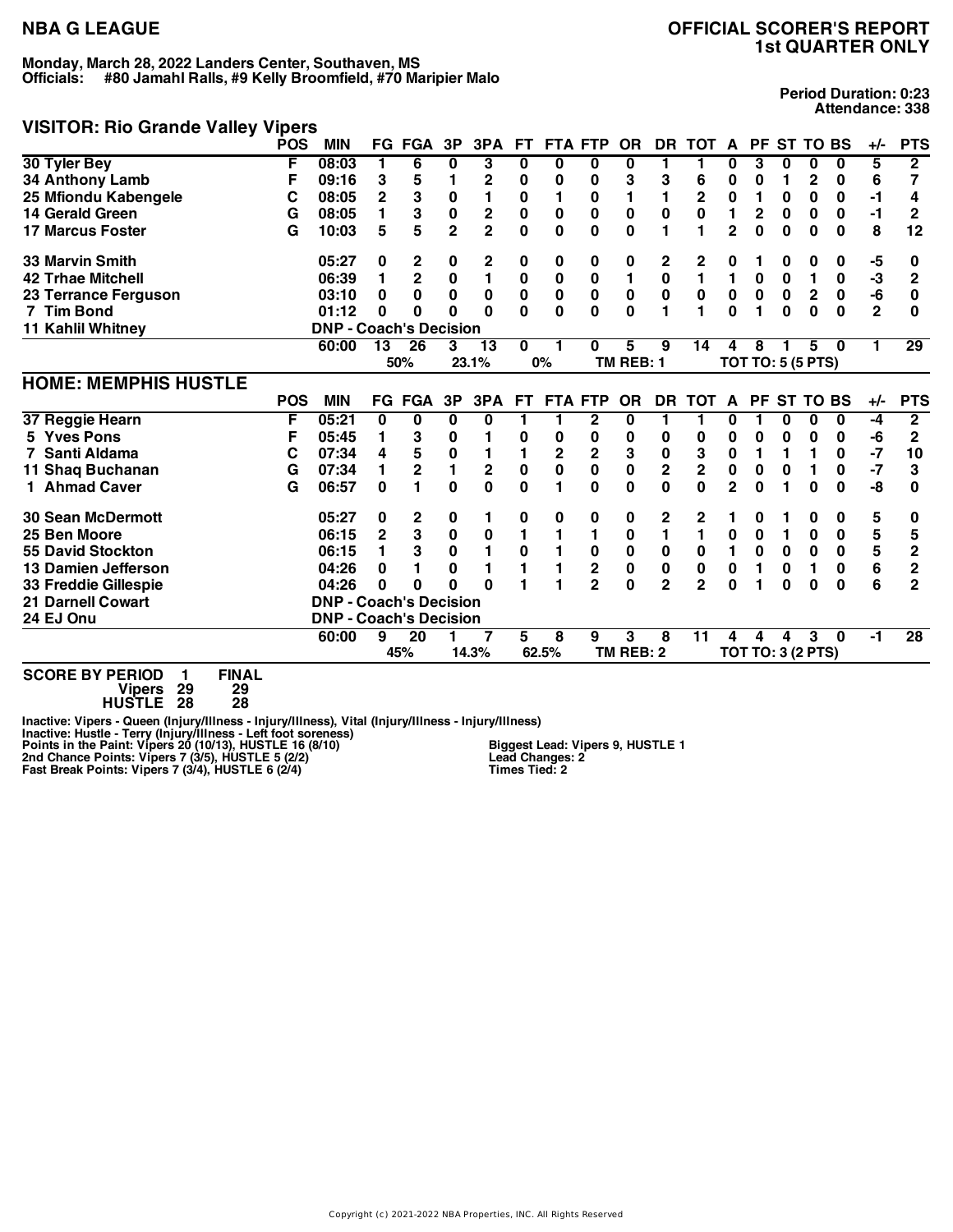# **NBA G LEAGUE OFFICIAL SCORER'S REPORT 1st QUARTER ONLY**

## **VISITOR: Rio Grande Valley Vipers**

**Period Duration: 0:23 Attendance: 338**

|                             | <b>POS</b> | <b>MIN</b>                    |                | <b>FG FGA</b>           | 3P             | 3PA                     | FT.      | <b>FTA FTP</b> |                         | <b>OR</b>      | <b>DR</b>               | <b>TOT</b>              | A              | <b>PF</b>                | <b>ST TO BS</b> |                  |          | +/-            | <b>PTS</b>              |
|-----------------------------|------------|-------------------------------|----------------|-------------------------|----------------|-------------------------|----------|----------------|-------------------------|----------------|-------------------------|-------------------------|----------------|--------------------------|-----------------|------------------|----------|----------------|-------------------------|
| 30 Tyler Bey                | F          | 08:03                         |                | 6                       | 0              | 3                       | 0        | 0              | 0                       | 0              | 1                       |                         | 0              | 3                        | 0               | 0                | 0        | 5              | $\overline{\mathbf{2}}$ |
| 34 Anthony Lamb             | F          | 09:16                         | 3              | 5                       |                | $\mathbf{2}$            | 0        | 0              | 0                       | 3              | 3                       | 6                       | 0              | 0                        |                 | 2                | 0        | 6              | 7                       |
| 25 Mfiondu Kabengele        | С          | 08:05                         | $\overline{2}$ | 3                       | 0              | 1                       | 0        | 1              | 0                       | 1              | 1                       | 2                       | 0              |                          | 0               | 0                | 0        | $-1$           | 4                       |
| <b>14 Gerald Green</b>      | G          | 08:05                         |                | 3                       | $\mathbf 0$    | $\overline{\mathbf{c}}$ | 0        | $\bf{0}$       | 0                       | $\mathbf 0$    | 0                       | $\mathbf 0$             | 1              | $\mathbf{2}$             | $\bf{0}$        | $\mathbf 0$      | $\bf{0}$ | -1             | $\mathbf{2}$            |
| <b>17 Marcus Foster</b>     | G          | 10:03                         | 5              | 5                       | $\overline{2}$ | $\overline{2}$          | 0        | $\bf{0}$       | 0                       | $\bf{0}$       | 1                       | 1                       | $\overline{2}$ | $\bf{0}$                 | 0               | $\bf{0}$         | $\bf{0}$ | 8              | 12                      |
| 33 Marvin Smith             |            | 05:27                         | 0              | 2                       | 0              | 2                       | 0        | 0              | 0                       | 0              | 2                       | 2                       | 0              |                          | 0               | 0                | 0        | -5             | 0                       |
| <b>42 Trhae Mitchell</b>    |            | 06:39                         |                | $\overline{2}$          | 0              | $\blacksquare$          | 0        | $\bf{0}$       | $\bf{0}$                | $\blacksquare$ | $\pmb{0}$               | $\mathbf{1}$            | 1              | 0                        | $\bf{0}$        | 1                | 0        | $-3$           | $\mathbf{2}$            |
| 23 Terrance Ferguson        |            | 03:10                         | 0              | 0                       | $\bf{0}$       | 0                       | 0        | 0              | $\pmb{0}$               | $\pmb{0}$      | $\pmb{0}$               | 0                       | 0              | $\mathbf 0$              | 0               | $\boldsymbol{2}$ | 0        | -6             | 0                       |
| 7 Tim Bond                  |            | 01:12                         | 0              | 0                       | $\bf{0}$       | $\Omega$                | O        | $\bf{0}$       | 0                       | $\bf{0}$       | 1                       | 1                       | $\bf{0}$       |                          | $\bf{0}$        | $\bf{0}$         | $\bf{0}$ | $\overline{2}$ | 0                       |
| 11 Kahlil Whitney           |            | <b>DNP - Coach's Decision</b> |                |                         |                |                         |          |                |                         |                |                         |                         |                |                          |                 |                  |          |                |                         |
|                             |            | 60:00                         | 13             | $\overline{26}$         | 3              | 13                      | 0        |                | 0                       | 5              | 9                       | 14                      | 4              | 8                        |                 | 5                | 0        |                | $\overline{29}$         |
|                             |            |                               |                | 50%                     |                | 23.1%                   |          | 0%             |                         | TM REB: 1      |                         |                         |                | <b>TOT TO: 5 (5 PTS)</b> |                 |                  |          |                |                         |
| <b>HOME: MEMPHIS HUSTLE</b> |            |                               |                |                         |                |                         |          |                |                         |                |                         |                         |                |                          |                 |                  |          |                |                         |
|                             | <b>POS</b> | <b>MIN</b>                    |                | FG FGA                  | 3P             | 3PA                     | FT.      | <b>FTA FTP</b> |                         | <b>OR</b>      | DR.                     | <b>TOT</b>              | $\mathbf{A}$   | <b>PF</b>                | <b>ST TO BS</b> |                  |          | $+/-$          | <b>PTS</b>              |
| 37 Reggie Hearn             | F          | 05:21                         | 0              | 0                       | 0              | 0                       | 1        |                | 2                       | 0              | 1                       | 1                       | 0              |                          | 0               | 0                | $\bf{0}$ | $-4$           | $\overline{2}$          |
| 5 Yves Pons                 | F          | 05:45                         |                | 3                       | 0              |                         | 0        | 0              | 0                       | 0              | 0                       | 0                       | 0              | 0                        | 0               | 0                | 0        | -6             | $\mathbf 2$             |
| Santi Aldama                | С          | 07:34                         | 4              | 5                       | $\bf{0}$       | 1                       | 1        | $\overline{2}$ | $\mathbf 2$             | 3              | $\mathbf 0$             | 3                       | 0              |                          | 1               | 1                | 0        | $-7$           | 10                      |
| 11 Shaq Buchanan            | G          | 07:34                         |                | $\overline{\mathbf{c}}$ | 1              | $\mathbf 2$             | $\bf{0}$ | 0              | 0                       | $\pmb{0}$      | $\overline{\mathbf{2}}$ | $\overline{\mathbf{2}}$ | 0              | 0                        | 0               | 1                | 0        | $-7$           | 3                       |
| 1 Ahmad Caver               | G          | 06:57                         | $\bf{0}$       | 1                       | $\bf{0}$       | $\mathbf{0}$            | 0        | 1              | 0                       | $\bf{0}$       | $\bf{0}$                | 0                       | $\overline{2}$ | 0                        | 1               | 0                | 0        | -8             | 0                       |
| <b>30 Sean McDermott</b>    |            | 05:27                         | 0              | 2                       | 0              | 1                       | 0        | 0              | 0                       | 0              | 2                       | 2                       | 1              | 0                        |                 | 0                | 0        | 5              | 0                       |
| 25 Ben Moore                |            | 06:15                         | 2              | 3                       | 0              | 0                       | 1        |                |                         | 0              | 1                       | 1                       | 0              | 0                        | 1               | 0                | 0        | 5              | 5                       |
| <b>55 David Stockton</b>    |            | 06:15                         |                | 3                       | $\bf{0}$       | 1                       | $\bf{0}$ |                | 0                       | $\bf{0}$       | $\pmb{0}$               | 0                       | 1              | $\bf{0}$                 | $\bf{0}$        | $\mathbf 0$      | $\bf{0}$ | 5              | $\overline{2}$          |
| 13 Damien Jefferson         |            | 04:26                         | 0              |                         | 0              | 1                       | 1        |                | $\overline{\mathbf{2}}$ | $\pmb{0}$      | $\pmb{0}$               | 0                       | 0              | 1                        | 0               | 1                | $\bf{0}$ | 6              | $\overline{2}$          |
| 33 Freddie Gillespie        |            | 04:26                         | 0              | 0                       | 0              | $\Omega$                |          |                | $\overline{2}$          | $\bf{0}$       | $\overline{2}$          | $\overline{2}$          | 0              |                          | $\bf{0}$        | 0                | $\bf{0}$ | 6              | $\mathbf{2}$            |
| <b>21 Darnell Cowart</b>    |            | <b>DNP - Coach's Decision</b> |                |                         |                |                         |          |                |                         |                |                         |                         |                |                          |                 |                  |          |                |                         |
| 24 EJ Onu                   |            | <b>DNP - Coach's Decision</b> |                |                         |                |                         |          |                |                         |                |                         |                         |                |                          |                 |                  |          |                |                         |
|                             |            | 60:00                         | 9              | 20                      |                |                         | 5.       | 8              | 9                       | 3              | 8                       | 11                      | $\overline{4}$ | 4                        | 4               | 3                | $\bf{0}$ | -1             | 28                      |
|                             |            |                               |                | 45%                     |                | 14.3%                   |          | 62.5%          |                         | TM REB: 2      |                         |                         |                | <b>TOT TO: 3 (2 PTS)</b> |                 |                  |          |                |                         |

**SCORE BY PERIOD 1 FINAL Vipers 29 29 HUSTLE 28 28**

Inactive: Vipers - Queen (Injury/Illness - Injury/Illness), Vital (Injury/Illness - Injury/Illness)<br>Inactive: Hustle - Terry (Injury/Illness - Left foot soreness)<br>Points in the Paint: Vipers 20 (10/13), HUSTLE 16 (8/10) **Biggest Lead: Vipers 9, HUSTLE 1 Lead Changes: 2 Times Tied: 2**

Copyright (c) 2021-2022 NBA Properties, INC. All Rights Reserved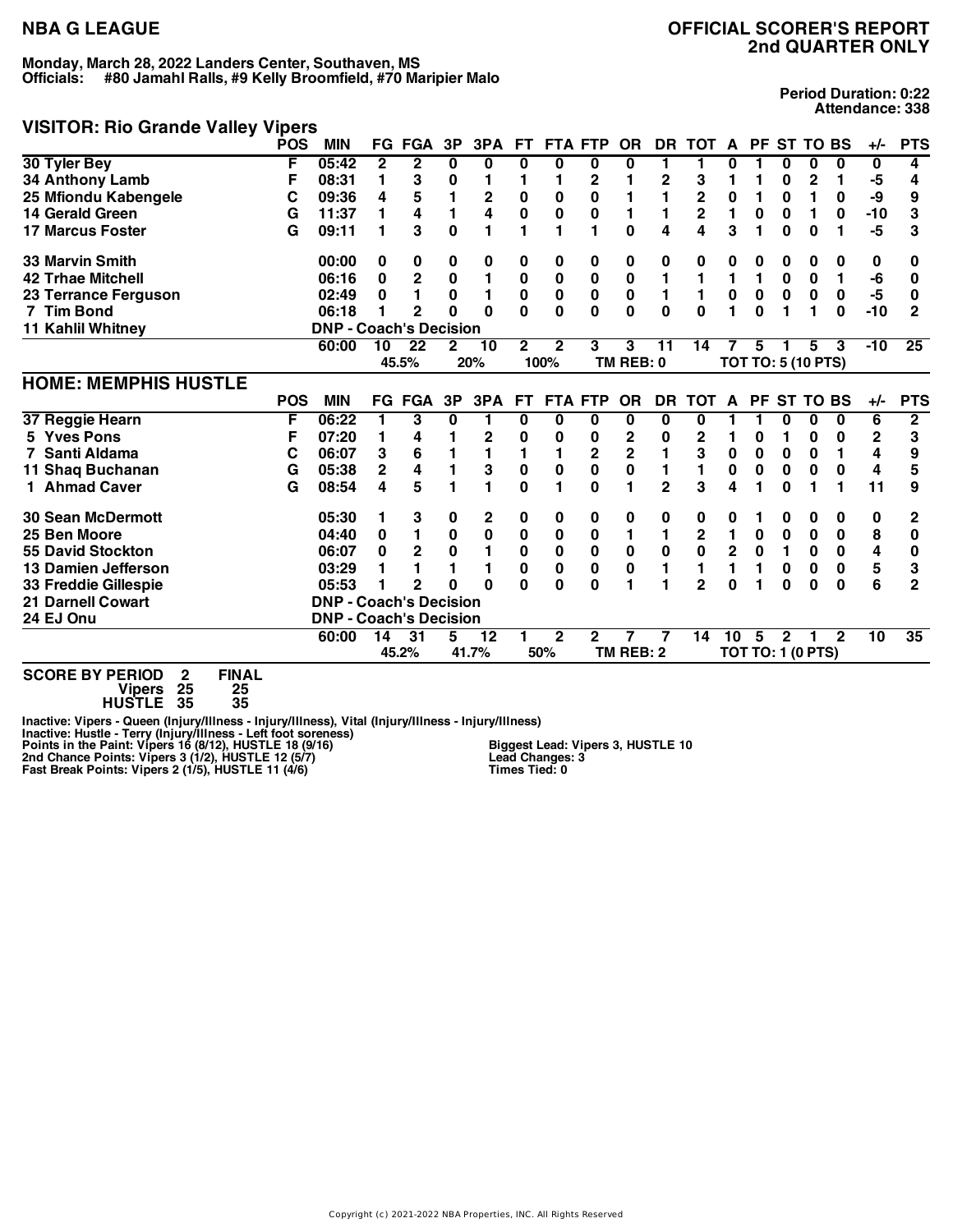## **VISITOR: Rio Grande Valley Vipers**

**Period Duration: 0:22 Attendance: 338**

|                             | <b>POS</b> | <b>MIN</b>                    |              | <b>FG FGA</b>           | 3P             | 3PA                     | FT.          | <b>FTA</b>     | <b>FTP</b>     | <b>OR</b>   | <b>DR</b>    | <b>TOT</b>              | A              | <b>PF</b>   |              | <b>ST TO BS</b>          |              | +/-   | <b>PTS</b>     |
|-----------------------------|------------|-------------------------------|--------------|-------------------------|----------------|-------------------------|--------------|----------------|----------------|-------------|--------------|-------------------------|----------------|-------------|--------------|--------------------------|--------------|-------|----------------|
| 30 Tyler Bey                | F          | 05:42                         | $\mathbf{2}$ | $\mathbf{2}$            | 0              | 0                       | 0            | 0              | 0              | 0           | 1            | 1                       | 0              |             | 0            | 0                        | 0            | 0     | 4              |
| 34 Anthony Lamb             | F          | 08:31                         | 1            | 3                       | 0              |                         | 1            |                | 2              |             | $\mathbf 2$  | 3                       |                |             | 0            | 2                        |              | -5    | 4              |
| 25 Mfiondu Kabengele        | С          | 09:36                         | 4            | 5                       |                | $\mathbf 2$             | 0            | $\bf{0}$       | 0              |             | 1            | 2                       | 0              | 1           | 0            | 1                        | 0            | -9    | 9              |
| <b>14 Gerald Green</b>      | G          | 11:37                         | 1            | 4                       | 1              | $\overline{\mathbf{4}}$ | $\bf{0}$     | $\bf{0}$       | $\pmb{0}$      | 1           | 1            | $\overline{\mathbf{2}}$ | 1              | $\bf{0}$    | $\bf{0}$     | 1                        | 0            | $-10$ | 3              |
| <b>17 Marcus Foster</b>     | G          | 09:11                         |              | 3                       | 0              | 1                       |              |                |                | $\bf{0}$    | 4            | 4                       | 3              |             | 0            | 0                        |              | $-5$  | 3              |
| <b>33 Marvin Smith</b>      |            | 00:00                         | 0            | 0                       | 0              | 0                       | 0            | 0              | 0              | 0           | 0            | 0                       | 0              | 0           | 0            | 0                        | 0            | 0     | 0              |
| <b>42 Trhae Mitchell</b>    |            | 06:16                         | 0            | $\overline{\mathbf{c}}$ | 0              | 1                       | $\bf{0}$     | $\bf{0}$       | $\pmb{0}$      | $\pmb{0}$   | 1            |                         | 1              | 1           | $\bf{0}$     | 0                        | 1            | -6    | 0              |
| 23 Terrance Ferguson        |            | 02:49                         | 0            |                         | $\mathbf 0$    | 1                       | $\bf{0}$     | $\pmb{0}$      | $\pmb{0}$      | $\pmb{0}$   | 1            | 1                       | $\pmb{0}$      | $\bf{0}$    | $\mathbf 0$  | $\bf{0}$                 | $\pmb{0}$    | $-5$  | 0              |
| 7 Tim Bond                  |            | 06:18                         |              | $\overline{2}$          | 0              | $\Omega$                | O            | $\mathbf{0}$   | 0              | 0           | $\mathbf{0}$ | $\mathbf{0}$            | 1              | $\bf{0}$    | 1            | 1                        | $\bf{0}$     | $-10$ | $\overline{2}$ |
| <b>11 Kahlil Whitney</b>    |            | <b>DNP - Coach's Decision</b> |              |                         |                |                         |              |                |                |             |              |                         |                |             |              |                          |              |       |                |
|                             |            | 60:00                         | 10           | 22                      | $\overline{2}$ | 10                      | $\mathbf{2}$ | $\overline{2}$ | 3              | 3           | 11           | 14                      |                | 5           |              | 5                        | 3            | $-10$ | 25             |
|                             |            |                               |              | 45.5%                   |                | 20%                     |              | 100%           |                | TM REB: 0   |              |                         |                |             |              | TOT TO: 5 (10 PTS)       |              |       |                |
| <b>HOME: MEMPHIS HUSTLE</b> |            |                               |              |                         |                |                         |              |                |                |             |              |                         |                |             |              |                          |              |       |                |
|                             | <b>POS</b> | <b>MIN</b>                    |              | FG FGA                  | 3P             | 3PA                     | <b>FT</b>    |                | <b>FTA FTP</b> | <b>OR</b>   | <b>DR</b>    | <b>TOT</b>              | A              |             |              | PF ST TO BS              |              | $+/-$ | <b>PTS</b>     |
| 37 Reggie Hearn             | F          | 06:22                         |              | 3                       | 0              | 1                       | 0            | 0              | 0              | 0           | 0            | 0                       |                |             | 0            | 0                        | 0            | 6     | $\mathbf{2}$   |
| 5 Yves Pons                 | F          | 07:20                         |              | 4                       |                | 2                       | 0            | 0              | 0              | 2           | 0            | 2                       |                | 0           |              | 0                        | 0            | 2     | 3              |
| Santi Aldama                | С          | 06:07                         | 3            | 6                       |                | 1                       | 1            | 1              | 2              | $\mathbf 2$ | 1            | 3                       | $\pmb{0}$      | $\bf{0}$    | 0            | 0                        | 1            | 4     | 9              |
| 11 Shaq Buchanan            | G          | 05:38                         | 2            | 4                       |                | 3                       | $\bf{0}$     | $\bf{0}$       | $\mathbf 0$    | $\pmb{0}$   | $\mathbf{1}$ | 1                       | $\pmb{0}$      | 0           | $\bf{0}$     | 0                        | $\bf{0}$     | 4     | 5              |
| 1 Ahmad Caver               | G          | 08:54                         | 4            | 5                       |                | 1                       | O            | 1              | 0              | 1           | $\mathbf{2}$ | 3                       | 4              |             | $\bf{0}$     |                          | 1            | 11    | 9              |
| <b>30 Sean McDermott</b>    |            | 05:30                         |              | 3                       | 0              | 2                       | 0            | 0              | 0              | 0           | 0            | 0                       | 0              |             | 0            | 0                        | 0            | 0     | 2              |
| 25 Ben Moore                |            | 04:40                         | 0            | 1                       | $\bf{0}$       | $\pmb{0}$               | $\bf{0}$     | $\bf{0}$       | $\pmb{0}$      | 1           | 1            | $\mathbf 2$             | 1              | 0           | $\bf{0}$     | 0                        | $\bf{0}$     | 8     | $\bf{0}$       |
| <b>55 David Stockton</b>    |            | 06:07                         | 0            | $\overline{2}$          | $\mathbf 0$    | 1                       | $\bf{0}$     | $\mathbf 0$    | $\mathbf 0$    | $\bf{0}$    | $\mathbf 0$  | $\mathbf 0$             | $\overline{2}$ | $\mathbf 0$ | 1            | $\mathbf 0$              | $\mathbf 0$  | 4     | 0              |
| 13 Damien Jefferson         |            | 03:29                         |              |                         |                | 1                       | $\bf{0}$     | 0              | 0              | $\pmb{0}$   | 1            | 1                       | 1              | 1           | 0            | 0                        | 0            | 5     | 3              |
| 33 Freddie Gillespie        |            | 05:53                         |              | $\overline{2}$          | 0              | $\Omega$                | U            | 0              | 0              | 1           | 1            | $\overline{2}$          | U              |             | $\bf{0}$     | 0                        | $\bf{0}$     | 6     | $\overline{2}$ |
| <b>21 Darnell Cowart</b>    |            | <b>DNP - Coach's Decision</b> |              |                         |                |                         |              |                |                |             |              |                         |                |             |              |                          |              |       |                |
| 24 EJ Onu                   |            | <b>DNP - Coach's Decision</b> |              |                         |                |                         |              |                |                |             |              |                         |                |             |              |                          |              |       |                |
|                             |            | 60:00                         | 14           | 31                      | 5              | 12                      |              | $\mathbf{2}$   | 2              |             |              | 14                      | 10             | 5           | $\mathbf{2}$ |                          | $\mathbf{2}$ | 10    | 35             |
|                             |            |                               |              | 45.2%                   |                | 41.7%                   |              | 50%            |                | TM REB: 2   |              |                         |                |             |              | <b>TOT TO: 1 (0 PTS)</b> |              |       |                |
|                             |            |                               |              |                         |                |                         |              |                |                |             |              |                         |                |             |              |                          |              |       |                |

**SCORE BY PERIOD 2 FINAL Vipers 25 25**

**HUSTLE 35 35**

Inactive: Vipers - Queen (Injury/Illness - Injury/Illness), Vital (Injury/Illness - Injury/Illness)<br>Inactive: Hustle - Terry (Injury/Illness - Left foot soreness)<br>Points in the Paint: Vipers 16 (8/12), HUSTLE 12 (5/7)

**Biggest Lead: Vipers 3, HUSTLE 10 Lead Changes: 3 Times Tied: 0**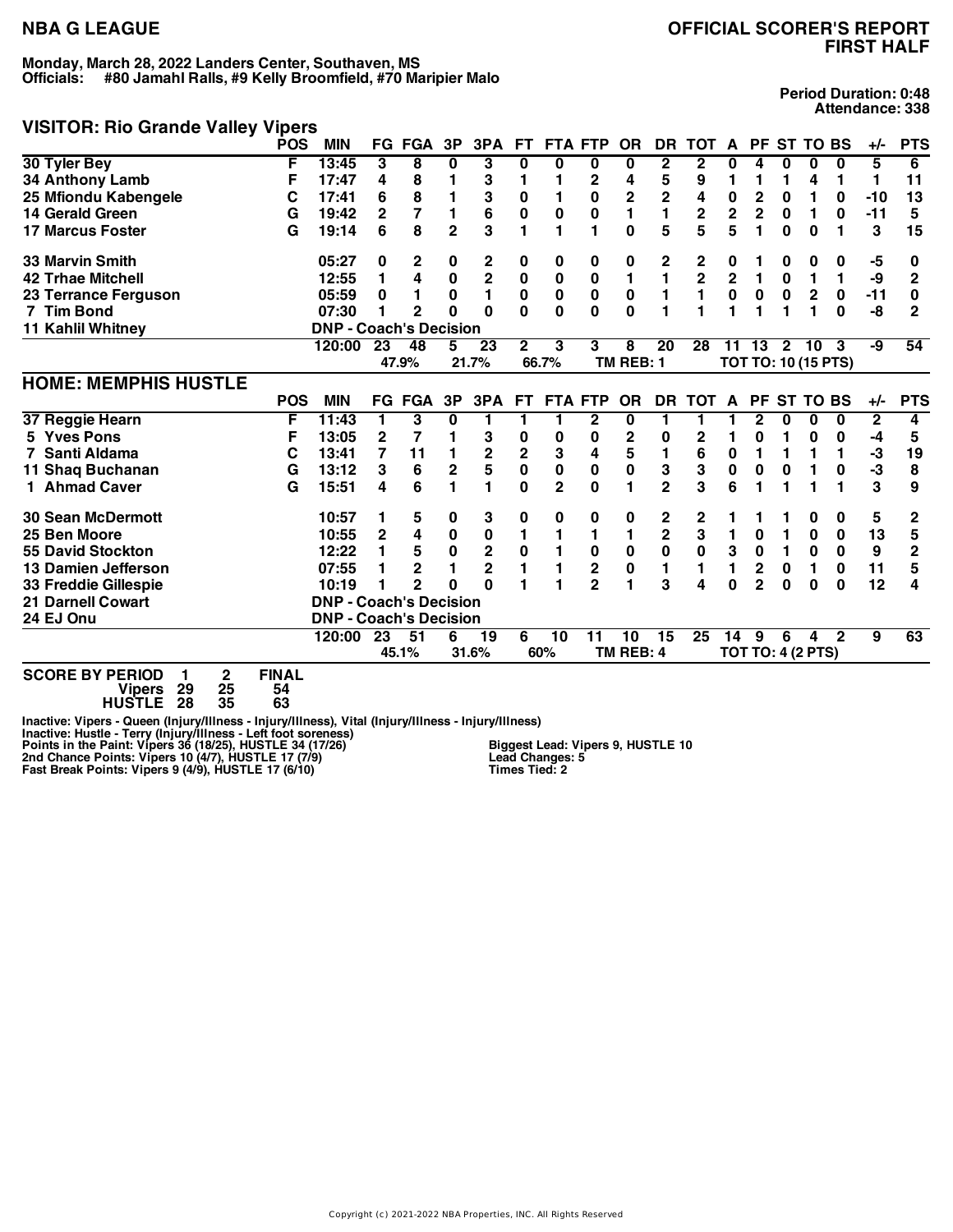## **NBA G LEAGUE OFFICIAL SCORER'S REPORT FIRST HALF**

## **VISITOR: Rio Grande Valley Vipers**

**Period Duration: 0:48 Attendance: 338**

|                             | <b>POS</b>    | <b>MIN</b>                    |             | <b>FG FGA</b>  | 3P             | 3PA                     | <b>FT</b>               | <b>FTA FTP</b> |                | <b>OR</b>      | <b>DR</b>      | <b>TOT</b>              | A                       | <b>PF</b>    |                | <b>ST TO BS</b>          |                            | +/-   | <b>PTS</b>              |
|-----------------------------|---------------|-------------------------------|-------------|----------------|----------------|-------------------------|-------------------------|----------------|----------------|----------------|----------------|-------------------------|-------------------------|--------------|----------------|--------------------------|----------------------------|-------|-------------------------|
| 30 Tyler Bey                | F             | 13:45                         | 3           | 8              | $\bf{0}$       | 3                       | 0                       | 0              | 0              | 0              | $\overline{2}$ | $\overline{2}$          | 0                       | 4            | 0              | 0                        | $\bf{0}$                   | 5     | 6                       |
| 34 Anthony Lamb             | F             | 17:47                         | 4           | 8              |                | 3                       | 1                       |                | $\mathbf{2}$   | 4              | 5              | 9                       | 1                       |              | 1              | 4                        | 1                          | 1     | 11                      |
| 25 Mfiondu Kabengele        | C             | 17:41                         | 6           | 8              |                | 3                       | 0                       |                | 0              | 2              | $\mathbf 2$    | 4                       | 0                       | 2            | $\bf{0}$       | 1                        | 0                          | $-10$ | 13                      |
| 14 Gerald Green             | G             | 19:42                         | 2           | 7              | 1              | 6                       | 0                       | $\bf{0}$       | 0              | 1              | 1              | $\overline{\mathbf{c}}$ | $\overline{\mathbf{2}}$ | $\mathbf 2$  | $\bf{0}$       | 1                        | $\bf{0}$                   | $-11$ | 5                       |
| <b>17 Marcus Foster</b>     | G             | 19:14                         | 6           | 8              | $\overline{2}$ | 3                       | 1                       | 1              | 1              | $\mathbf{0}$   | 5              | 5                       | 5                       | 1            | 0              | $\bf{0}$                 |                            | 3     | 15                      |
| 33 Marvin Smith             |               | 05:27                         | 0           | 2              | 0              | 2                       | 0                       | 0              | 0              | 0              | 2              | 2                       | 0                       |              | 0              | 0                        | 0                          | -5    | 0                       |
| <b>42 Trhae Mitchell</b>    |               | 12:55                         | 1           | 4              | $\bf{0}$       | $\overline{2}$          | 0                       | $\bf{0}$       | $\pmb{0}$      | $\blacksquare$ | 1              | $\overline{\mathbf{2}}$ | $\overline{2}$          | 1            | $\bf{0}$       | 1                        | 1                          | -9    | $\overline{2}$          |
| 23 Terrance Ferguson        |               | 05:59                         | 0           |                | 0              | 1                       | $\mathbf{0}$            | $\mathbf 0$    | $\mathbf 0$    | $\bf{0}$       | 1              | 1                       | $\mathbf 0$             | 0            | $\mathbf 0$    | $\mathbf{2}$             | 0                          | $-11$ | $\bf{0}$                |
| 7 Tim Bond                  |               | 07:30                         |             | $\overline{2}$ | $\Omega$       | $\Omega$                | $\Omega$                | $\bf{0}$       | $\bf{0}$       | $\bf{0}$       | 1              | 1                       | 1                       |              | 1              | 1                        | $\bf{0}$                   | -8    | 2                       |
| 11 Kahlil Whitney           |               | <b>DNP - Coach's Decision</b> |             |                |                |                         |                         |                |                |                |                |                         |                         |              |                |                          |                            |       |                         |
|                             |               | 120:00                        | 23          | 48             | 5              | 23                      | 2                       | 3              | 3              | 8              | 20             | 28                      |                         | 11 13        | $\overline{2}$ | 10                       | 3                          | -9    | 54                      |
|                             |               |                               |             | 47.9%          |                | 21.7%                   |                         | 66.7%          |                | TM REB: 1      |                |                         |                         |              |                |                          | <b>TOT TO: 10 (15 PTS)</b> |       |                         |
| <b>HOME: MEMPHIS HUSTLE</b> |               |                               |             |                |                |                         |                         |                |                |                |                |                         |                         |              |                |                          |                            |       |                         |
|                             | <b>POS</b>    | <b>MIN</b>                    | FG          | <b>FGA</b>     | 3P             | 3PA                     | FТ                      | <b>FTA FTP</b> |                | <b>OR</b>      | <b>DR</b>      | <b>TOT</b>              | A                       | <b>PF</b>    |                | <b>ST TO BS</b>          |                            | $+/-$ | <b>PTS</b>              |
| 37 Reggie Hearn             | F             | 11:43                         | 1           | 3              | 0              | 1                       | 1                       |                | 2              | 0              | 1              |                         |                         | 2            | 0              | 0                        | 0                          | 2     | 4                       |
| 5 Yves Pons                 | F             | 13:05                         | $\mathbf 2$ | 7              |                | 3                       | 0                       | 0              | 0              | $\mathbf 2$    | 0              | $\mathbf 2$             | 1                       | 0            |                | 0                        | 0                          | $-4$  | 5                       |
| Santi Aldama                | С             | 13:41                         | 7           | 11             |                | $\overline{\mathbf{2}}$ | $\overline{\mathbf{2}}$ | 3              | 4              | 5              | 1              | 6                       | 0                       | 1            | 1              | 1                        | 1                          | $-3$  | 19                      |
| 11 Shaq Buchanan            | G             | 13:12                         | 3           | 6              | 2              | 5                       | 0                       | 0              | 0              | $\bf{0}$       | 3              | 3                       | 0                       | 0            | 0              | 1                        | 0                          | $-3$  | 8                       |
| 1 Ahmad Caver               | G             | 15:51                         | 4           | 6              |                | 1                       | $\Omega$                | $\overline{2}$ | $\bf{0}$       | 1              | $\overline{2}$ | 3                       | 6                       |              | 1              |                          |                            | 3     | 9                       |
| <b>30 Sean McDermott</b>    |               | 10:57                         | 1           | 5              | 0              | 3                       | 0                       | 0              | 0              | 0              | 2              | 2                       |                         |              |                | 0                        | 0                          | 5     | 2                       |
| 25 Ben Moore                |               | 10:55                         | 2           | 4              | 0              | 0                       | 1                       | 1              | 1              | 1              | $\mathbf 2$    | 3                       | 1                       | 0            | 1              | 0                        | 0                          | 13    | 5                       |
| <b>55 David Stockton</b>    |               | 12:22                         |             | 5              | 0              | $\overline{\mathbf{c}}$ | 0                       |                | 0              | $\pmb{0}$      | 0              | $\mathbf 0$             | 3                       | $\mathbf 0$  | 1              | 0                        | $\bf{0}$                   | 9     | $\overline{\mathbf{c}}$ |
| 13 Damien Jefferson         |               | 07:55                         |             | $\mathbf{2}$   |                | $\overline{2}$          | 1                       |                | $\overline{2}$ | $\pmb{0}$      | 1              | 1                       | 1                       | $\mathbf{2}$ | $\bf{0}$       | 1                        | 0                          | 11    | 5                       |
| <b>33 Freddie Gillespie</b> |               | 10:19                         |             | $\overline{2}$ | $\Omega$       | Û                       |                         |                | $\overline{2}$ | 1              | 3              | 4                       | 0                       | $\mathbf{2}$ | $\bf{0}$       | $\bf{0}$                 | $\bf{0}$                   | 12    | 4                       |
| <b>21 Darnell Cowart</b>    |               | <b>DNP - Coach's Decision</b> |             |                |                |                         |                         |                |                |                |                |                         |                         |              |                |                          |                            |       |                         |
| 24 EJ Onu                   |               | <b>DNP - Coach's Decision</b> |             |                |                |                         |                         |                |                |                |                |                         |                         |              |                |                          |                            |       |                         |
|                             |               | 120:00                        | 23          | 51             | 6              | 19                      | 6                       | 10             | 11             | 10             | 15             | 25                      | 14                      | 9            | 6              | 4                        | $\mathbf{2}$               | 9     | 63                      |
|                             |               |                               |             | 45.1%          |                | 31.6%                   |                         | 60%            |                | TM REB: 4      |                |                         |                         |              |                | <b>TOT TO: 4 (2 PTS)</b> |                            |       |                         |
| COORE BY BEBIAR 4<br>$\sim$ | <b>PILLAI</b> |                               |             |                |                |                         |                         |                |                |                |                |                         |                         |              |                |                          |                            |       |                         |

**SCORE BY PERIOD 1 2 FINAL Vipers 29 25 54 HUSTLE 28 35 63**

Inactive: Vipers - Queen (Injury/Illness - Injury/Illness), Vital (Injury/Illness - Injury/Illness)<br>Inactive: Hustle - Terry (Injury/Illness - Left foot soreness)<br>Points in the Paint: Vipers 36 (18/25), HUSTLE 17 (7/9)

**Biggest Lead: Vipers 9, HUSTLE 10 Lead Changes: 5 Times Tied: 2**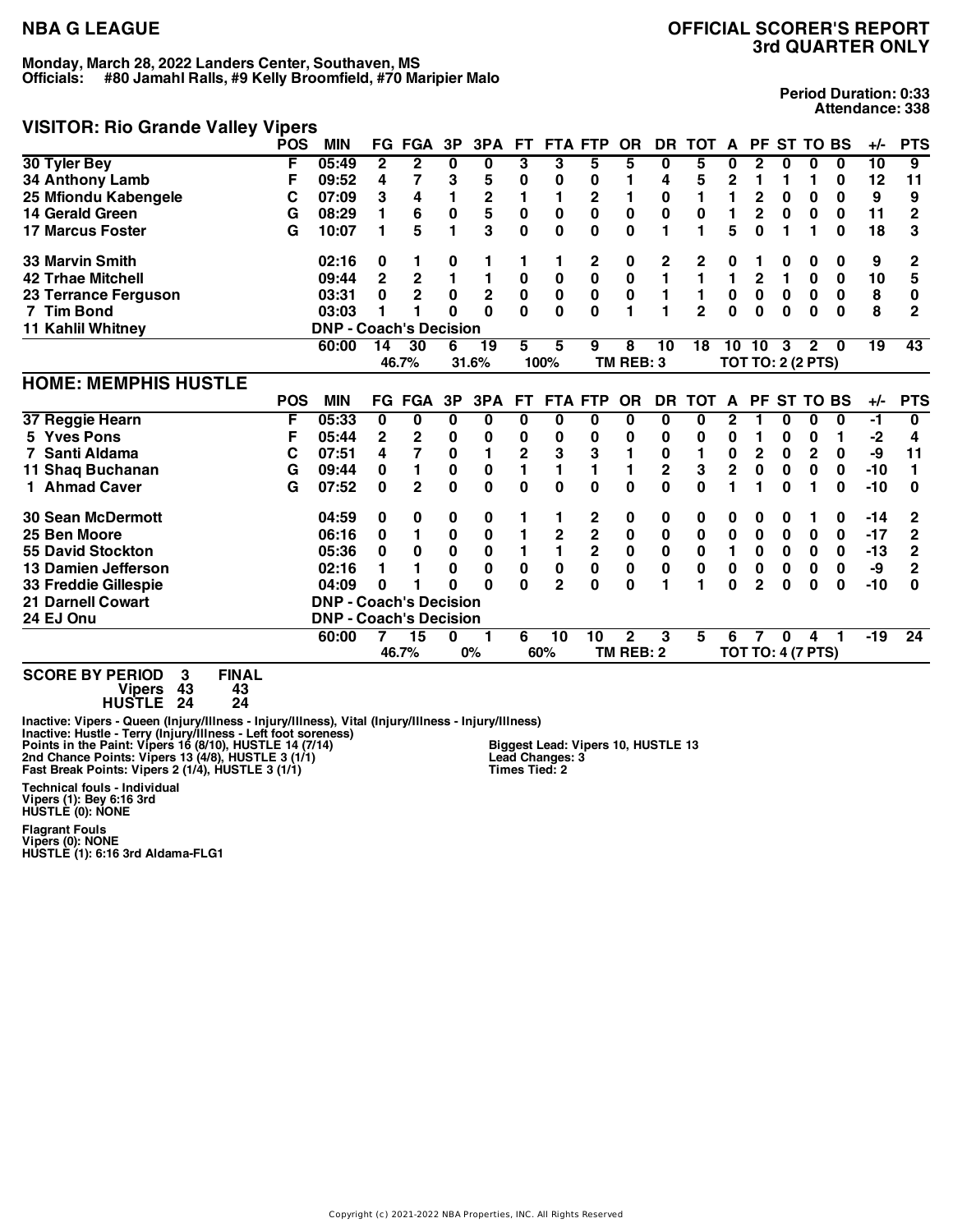# **VISITOR: Rio Grande Valley Vipers**

**Period Duration: 0:33 Attendance: 338**

| violi On. Nio Grafiue valley vipers |            |                               |              |                |          |                         |                |                |                |                |                |                |                |              |                          |                 |          |                 |                |
|-------------------------------------|------------|-------------------------------|--------------|----------------|----------|-------------------------|----------------|----------------|----------------|----------------|----------------|----------------|----------------|--------------|--------------------------|-----------------|----------|-----------------|----------------|
|                                     | <b>POS</b> | <b>MIN</b>                    |              | <b>FG FGA</b>  | 3P       | 3PA                     | <b>FT</b>      |                | <b>FTA FTP</b> | <b>OR</b>      | <b>DR</b>      | TOT A          |                |              | PF ST TO BS              |                 |          | +/−             | <b>PTS</b>     |
| 30 Tyler Bey                        | F          | 05:49                         | $\mathbf{2}$ | $\mathbf{2}$   | 0        | 0                       | 3              | 3              | 5              | 5              | 0              | 5              | 0              | $\mathbf{2}$ | 0                        | 0               | 0        | $\overline{10}$ | 9              |
| 34 Anthony Lamb                     | F          | 09:52                         | 4            | 7              | 3        | 5                       | 0              | 0              | 0              |                | 4              | 5              | 2              | 1            | 1                        | 1               | 0        | 12              | 11             |
| 25 Mfiondu Kabengele                | С          | 07:09                         | 3            | 4              |          | $\overline{\mathbf{c}}$ | 1              | 1              | 2              |                | 0              | 1              | 1              | 2            | 0                        | 0               | 0        | 9               | 9              |
| 14 Gerald Green                     | G          | 08:29                         |              | 6              | $\bf{0}$ | 5                       | 0              | 0              | 0              | $\pmb{0}$      | $\pmb{0}$      | 0              | 1              | 2            | $\bf{0}$                 | 0               | $\bf{0}$ | 11              | $\overline{2}$ |
| <b>17 Marcus Foster</b>             | G          | 10:07                         |              | 5              |          | 3                       | 0              | $\bf{0}$       | 0              | $\bf{0}$       | 1              | 1              | 5              | $\bf{0}$     | 1                        | 1               | $\bf{0}$ | 18              | 3              |
| <b>33 Marvin Smith</b>              |            | 02:16                         | 0            | 1              | 0        |                         |                |                | 2              | 0              | 2              | 2              | 0              |              | 0                        | 0               | 0        | 9               | 2              |
| <b>42 Trhae Mitchell</b>            |            | 09:44                         | $\mathbf 2$  | 2              |          | 1                       | 0              | $\pmb{0}$      | $\bf{0}$       | $\pmb{0}$      | 1              | $\mathbf{1}$   | 1              | $\mathbf{2}$ | $\mathbf{1}$             | 0               | 0        | 10              | 5              |
| 23 Terrance Ferguson                |            | 03:31                         | 0            | $\overline{2}$ | 0        | $\overline{2}$          | 0              | $\pmb{0}$      | $\pmb{0}$      | $\pmb{0}$      | 1              | 1              | $\pmb{0}$      | $\mathbf 0$  | $\mathbf 0$              | 0               | $\bf{0}$ | 8               | 0              |
| 7 Tim Bond                          |            | 03:03                         |              | 1              | $\Omega$ | $\Omega$                | $\Omega$       | $\mathbf{0}$   | $\Omega$       | $\blacksquare$ | 1              | $\overline{2}$ | 0              | $\bf{0}$     | $\bf{0}$                 | $\bf{0}$        | $\Omega$ | 8               | $\mathbf{2}$   |
| 11 Kahlil Whitney                   |            | <b>DNP - Coach's Decision</b> |              |                |          |                         |                |                |                |                |                |                |                |              |                          |                 |          |                 |                |
|                                     |            | 60:00                         | 14           | 30             | 6        | 19                      | 5              | 5              | 9              | 8              | 10             | 18             | 10             | 10           | 3                        | $\overline{2}$  | - 0      | 19              | 43             |
|                                     |            |                               |              | 46.7%          |          | 31.6%                   |                | 100%           |                | TM REB: 3      |                |                |                |              | <b>TOT TO: 2 (2 PTS)</b> |                 |          |                 |                |
| <b>HOME: MEMPHIS HUSTLE</b>         |            |                               |              |                |          |                         |                |                |                |                |                |                |                |              |                          |                 |          |                 |                |
|                                     | <b>POS</b> | <b>MIN</b>                    |              | <b>FG FGA</b>  | 3P       | 3PA                     | <b>FT</b>      |                | <b>FTA FTP</b> | <b>OR</b>      | <b>DR</b>      | <b>TOT</b>     | A              | <b>PF</b>    |                          | <b>ST TO BS</b> |          | $+/-$           | <b>PTS</b>     |
| 37 Reggie Hearn                     | F          | 05:33                         | 0            | 0              | 0        | 0                       | 0              | 0              | 0              | 0              | 0              | 0              | 2              |              | 0                        | 0               | 0        | -1              | 0              |
| 5 Yves Pons                         | F          | 05:44                         | 2            | 2              | 0        | 0                       | 0              | 0              | 0              | 0              | 0              | 0              | 0              |              | 0                        | 0               |          | -2              | 4              |
| 7 Santi Aldama                      | С          | 07:51                         | 4            | 7              | 0        | 1                       | $\overline{2}$ | 3              | 3              | 1              | 0              | 1              | 0              | $\mathbf 2$  | $\bf{0}$                 | $\mathbf 2$     | 0        | -9              | 11             |
| 11 Shaq Buchanan                    | G          | 09:44                         | 0            | 1              | 0        | 0                       | 1              | 1              | 1              | 1              | $\overline{2}$ | 3              | $\overline{2}$ | $\bf{0}$     | $\bf{0}$                 | $\bf{0}$        | 0        | $-10$           |                |
| 1 Ahmad Caver                       | G          | 07:52                         | $\bf{0}$     | $\overline{2}$ | $\bf{0}$ | $\mathbf 0$             | $\bf{0}$       | $\bf{0}$       | $\bf{0}$       | $\bf{0}$       | 0              | 0              | 1              |              | $\bf{0}$                 |                 | $\bf{0}$ | $-10$           | 0              |
| <b>30 Sean McDermott</b>            |            | 04:59                         | 0            | 0              | 0        | 0                       |                |                | 2              | 0              | 0              | 0              | 0              | 0            | 0                        |                 | 0        | $-14$           | 2              |
| 25 Ben Moore                        |            | 06:16                         | 0            |                | 0        | 0                       | 1              | 2              | $\mathbf 2$    | $\pmb{0}$      | $\pmb{0}$      | 0              | 0              | 0            | 0                        | 0               | 0        | $-17$           | $\mathbf 2$    |
| <b>55 David Stockton</b>            |            | 05:36                         | 0            | 0              | $\bf{0}$ | 0                       | 1              | $\mathbf{1}$   | $\overline{2}$ | $\pmb{0}$      | $\pmb{0}$      | $\mathbf{0}$   | 1              | $\bf{0}$     | $\bf{0}$                 | $\mathbf 0$     | $\bf{0}$ | $-13$           | $\overline{2}$ |
| 13 Damien Jefferson                 |            | 02:16                         |              |                | $\bf{0}$ | 0                       | $\bf{0}$       | $\pmb{0}$      | 0              | $\pmb{0}$      | 0              | 0              | 0              | $\mathbf 0$  | 0                        | 0               | 0        | -9              | 2              |
| 33 Freddie Gillespie                |            | 04:09                         | 0            |                | 0        | O                       | U              | $\overline{2}$ | 0              | 0              | 1              | 1              | 0              | 2            | $\bf{0}$                 | 0               | $\bf{0}$ | $-10$           | O              |
| <b>21 Darnell Cowart</b>            |            | <b>DNP - Coach's Decision</b> |              |                |          |                         |                |                |                |                |                |                |                |              |                          |                 |          |                 |                |
| 24 EJ Onu                           |            | <b>DNP - Coach's Decision</b> |              |                |          |                         |                |                |                |                |                |                |                |              |                          |                 |          |                 |                |
|                                     |            | 60:00                         |              | 15             | 0        |                         | 6              | 10             | 10             | $\mathbf{2}$   | 3              | 5              | 6              |              | 0                        | Δ               |          | $-19$           | 24             |
|                                     |            |                               |              | 46.7%          |          | 0%                      |                | 60%            |                | TM REB: 2      |                |                |                |              | <b>TOT TO: 4 (7 PTS)</b> |                 |          |                 |                |
| $-1$                                |            |                               |              |                |          |                         |                |                |                |                |                |                |                |              |                          |                 |          |                 |                |

**SCORE BY PERIOD 3 FINAL Vipers 43 43 HUSTLE 24 24**

Inactive: Vipers - Queen (Injury/Illness - Injury/Illness), Vital (Injury/Illness - Injury/Illness)<br>Inactive: Hustle - Terry (Injury/Illness - Left foot soreness)<br>Points in the Paint: Vipers 16 (8/10), HUSTLE 14 (7/14) **Technical fouls - Individual Vipers (1): Bey 6:16 3rd HUSTLE (0): NONE**

**Flagrant Fouls Vipers (0): NONE HUSTLE (1): 6:16 3rd Aldama-FLG1**

**Biggest Lead: Vipers 10, HUSTLE 13 Lead Changes: 3 Times Tied: 2**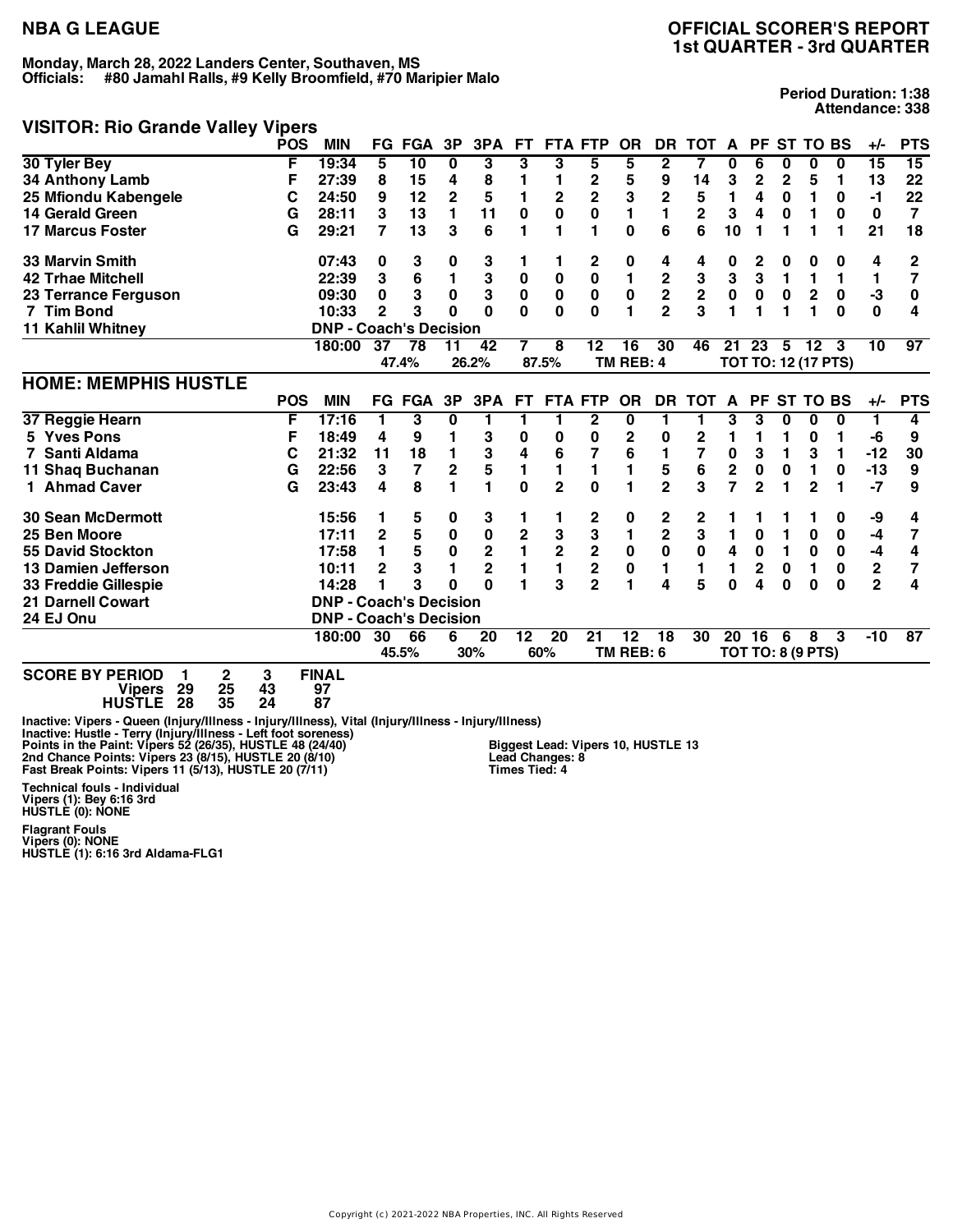# **VISITOR: Rio Grande Valley Vipers**

**Period Duration: 1:38 Attendance: 338**

| violi On. nio dialide valley vipels |            |                               |    |                 |                |                |           |                         |                         |              |                         |                         |              |                          |              |                 |                            |                |                |
|-------------------------------------|------------|-------------------------------|----|-----------------|----------------|----------------|-----------|-------------------------|-------------------------|--------------|-------------------------|-------------------------|--------------|--------------------------|--------------|-----------------|----------------------------|----------------|----------------|
|                                     | <b>POS</b> | <b>MIN</b>                    |    | FG FGA          | 3P             | 3PA            | <b>FT</b> |                         | <b>FTA FTP</b>          | <b>OR</b>    | DR.                     | <b>TOT</b>              | A            | <b>PF</b>                |              | <b>ST TO BS</b> |                            | +/-            | <b>PTS</b>     |
| 30 Tyler Bey                        | F          | 19:34                         | 5  | $\overline{10}$ | 0              | 3              | 3         | 3                       | 5                       | 5            | $\boldsymbol{2}$        | 7                       | 0            | 6                        | 0            | 0               | 0                          | 15             | 15             |
| <b>34 Anthony Lamb</b>              | F          | 27:39                         | 8  | 15              | 4              | 8              | 1         | 1                       | 2                       | 5            | 9                       | 14                      | 3            | 2                        | 2            | 5               | 1                          | 13             | 22             |
| 25 Mfiondu Kabengele                | С          | 24:50                         | 9  | 12              | $\overline{2}$ | 5              | 1         | $\overline{\mathbf{c}}$ | $\overline{2}$          | 3            | $\mathbf 2$             | 5                       | 1            | 4                        | 0            | 1               | 0                          | $-1$           | 22             |
| 14 Gerald Green                     | G          | 28:11                         | 3  | 13              | 1              | 11             | $\bf{0}$  | $\mathbf 0$             | 0                       | 1            | 1                       | $\overline{\mathbf{2}}$ | 3            | 4                        | $\bf{0}$     | 1               | $\bf{0}$                   | $\mathbf 0$    | $\overline{7}$ |
| <b>17 Marcus Foster</b>             | G          | 29:21                         | 7  | 13              | 3              | 6              |           |                         |                         | 0            | 6                       | 6                       | 10           |                          | 1            |                 |                            | 21             | 18             |
| <b>33 Marvin Smith</b>              |            | 07:43                         | 0  | 3               | 0              | 3              |           |                         | 2                       | 0            | 4                       | 4                       | 0            | 2                        | 0            | 0               | 0                          | 4              | 2              |
| <b>42 Trhae Mitchell</b>            |            | 22:39                         | 3  | 6               | 1              | 3              | $\bf{0}$  | $\bf{0}$                | $\pmb{0}$               | $\mathbf{1}$ |                         | 3                       | 3            | $\mathbf 3$              | 1            | 1               | 1                          | 1              | 7              |
| 23 Terrance Ferguson                |            | 09:30                         | 0  | 3               | 0              | 3              | $\pmb{0}$ | $\pmb{0}$               | $\pmb{0}$               | $\pmb{0}$    | $\frac{2}{2}$           | $\mathbf 2$             | $\pmb{0}$    | $\mathbf 0$              | $\mathbf 0$  | $\mathbf 2$     | $\pmb{0}$                  | $-3$           | 0              |
| 7 Tim Bond                          |            | 10:33                         | 2  | 3               | 0              | $\Omega$       | $\Omega$  | $\bf{0}$                | $\mathbf{0}$            | 1            | $\overline{2}$          | 3                       | 1            |                          | 1            |                 | $\bf{0}$                   | $\bf{0}$       | 4              |
| 11 Kahlil Whitney                   |            | <b>DNP - Coach's Decision</b> |    |                 |                |                |           |                         |                         |              |                         |                         |              |                          |              |                 |                            |                |                |
|                                     |            | 180:00                        | 37 | 78              | 11             | 42             | 7         | 8                       | 12                      | 16           | 30                      | 46                      | 21           | 23                       | 5            | $12 \,$         | 3                          | 10             | 97             |
|                                     |            |                               |    | 47.4%           |                | 26.2%          |           | 87.5%                   |                         | TM REB: 4    |                         |                         |              |                          |              |                 | <b>TOT TO: 12 (17 PTS)</b> |                |                |
| <b>HOME: MEMPHIS HUSTLE</b>         |            |                               |    |                 |                |                |           |                         |                         |              |                         |                         |              |                          |              |                 |                            |                |                |
|                                     | <b>POS</b> | <b>MIN</b>                    |    | FG FGA          | 3P             | 3PA            | FT.       |                         | <b>FTA FTP</b>          | <b>OR</b>    | <b>DR</b>               | <b>TOT</b>              | $\mathbf{A}$ | <b>PF</b>                |              | <b>ST TO BS</b> |                            | $+/-$          | <b>PTS</b>     |
| 37 Reggie Hearn                     | F          | 17:16                         |    | 3               | 0              | 1              |           |                         | 2                       | 0            | 1                       |                         | 3            | 3                        | 0            | 0               | 0                          | 1              | 4              |
| 5 Yves Pons                         | F          | 18:49                         | 4  | 9               |                | 3              | 0         | 0                       | 0                       | 2            | 0                       | 2                       | 1            |                          | 1            | 0               |                            | -6             | 9              |
| Santi Aldama                        | С          | 21:32                         | 11 | 18              |                | 3              | 4         | 6                       | 7                       | 6            | 1                       | 7                       | $\mathbf 0$  | 3                        | 1            | 3               | 1                          | $-12$          | 30             |
| 11 Shaq Buchanan                    | G          | 22:56                         | 3  | 7               | $\mathbf 2$    | 5              | 1         | 1                       | 1                       | 1            | 5                       | 6                       | $\mathbf 2$  | 0                        | $\bf{0}$     | 1               | 0                          | $-13$          | 9              |
| 1 Ahmad Caver                       | G          | 23:43                         | 4  | 8               |                | 1              | $\Omega$  | $\overline{2}$          | U                       | 1            | $\overline{2}$          | 3                       | 7            | $\overline{2}$           | 1            | $\overline{2}$  |                            | $-7$           | 9              |
| <b>30 Sean McDermott</b>            |            | 15:56                         |    |                 | 0              | 3              |           |                         | 2                       | 0            | 2                       | 2                       |              |                          |              |                 | 0                          | -9             | 4              |
| 25 Ben Moore                        |            | 17:11                         | 2  | 5<br>5          | $\bf{0}$       | $\pmb{0}$      | 2         | 3                       | 3                       | 1            | $\overline{\mathbf{c}}$ | 3                       | 1            | 0                        | 1            | 0               | 0                          | $-4$           | 7              |
| 55 David Stockton                   |            | 17:58                         |    | 5               | 0              | $\mathbf 2$    | 1         | $\overline{\mathbf{2}}$ | $\overline{\mathbf{2}}$ | $\pmb{0}$    | $\pmb{0}$               | $\pmb{0}$               | 4            | $\mathbf 0$              | $\mathbf{1}$ | $\pmb{0}$       | $\mathbf 0$                | $-4$           | 4              |
| 13 Damien Jefferson                 |            | 10:11                         | 2  | 3               |                | $\overline{2}$ | 1         | $\mathbf{1}$            | $\overline{\mathbf{2}}$ | $\pmb{0}$    | 1                       | 1                       | 1            | 2                        | $\bf{0}$     | 1               | $\mathbf{0}$               | $\mathbf 2$    | 7              |
| 33 Freddie Gillespie                |            | 14:28                         |    | 3               | O              | $\Omega$       |           | 3                       | $\overline{2}$          | 1            | 4                       | 5                       | 0            | 4                        | $\bf{0}$     | $\bf{0}$        | $\bf{0}$                   | $\overline{2}$ | 4              |
| <b>21 Darnell Cowart</b>            |            | <b>DNP - Coach's Decision</b> |    |                 |                |                |           |                         |                         |              |                         |                         |              |                          |              |                 |                            |                |                |
| 24 EJ Onu                           |            | <b>DNP - Coach's Decision</b> |    |                 |                |                |           |                         |                         |              |                         |                         |              |                          |              |                 |                            |                |                |
|                                     |            | 180:00                        | 30 | 66              | 6              | 20             | 12        | 20                      | 21                      | 12           | 18                      | 30                      |              | 20 16                    | 6            | 8               | 3                          | $-10$          | 87             |
|                                     |            |                               |    | 45.5%           |                | 30%            |           | 60%                     |                         | TM REB: 6    |                         |                         |              | <b>TOT TO: 8 (9 PTS)</b> |              |                 |                            |                |                |
| COODE BY BEBIOD 4<br>$\sim$         | $\sim$     | <b>FINIAL</b>                 |    |                 |                |                |           |                         |                         |              |                         |                         |              |                          |              |                 |                            |                |                |

**SCORE BY PERIOD 1 2 3 FINAL Vipers 29 25 43 97 HUSTLE 28 35 24 87**

Inactive: Vipers - Queen (Injury/Illness - Injury/Illness), Vital (Injury/Illness - Injury/Illness)<br>Inactive: Hustle - Terry (Injury/Illness - Left foot soreness)<br>Points in the Paint: Vipers 52 (26/35), HUSTLE 48 (24/40) **Biggest Lead: Vipers 10, HUSTLE 13 Lead Changes: 8 Times Tied: 4**

**Technical fouls - Individual Vipers (1): Bey 6:16 3rd HUSTLE (0): NONE**

**Flagrant Fouls Vipers (0): NONE HUSTLE (1): 6:16 3rd Aldama-FLG1**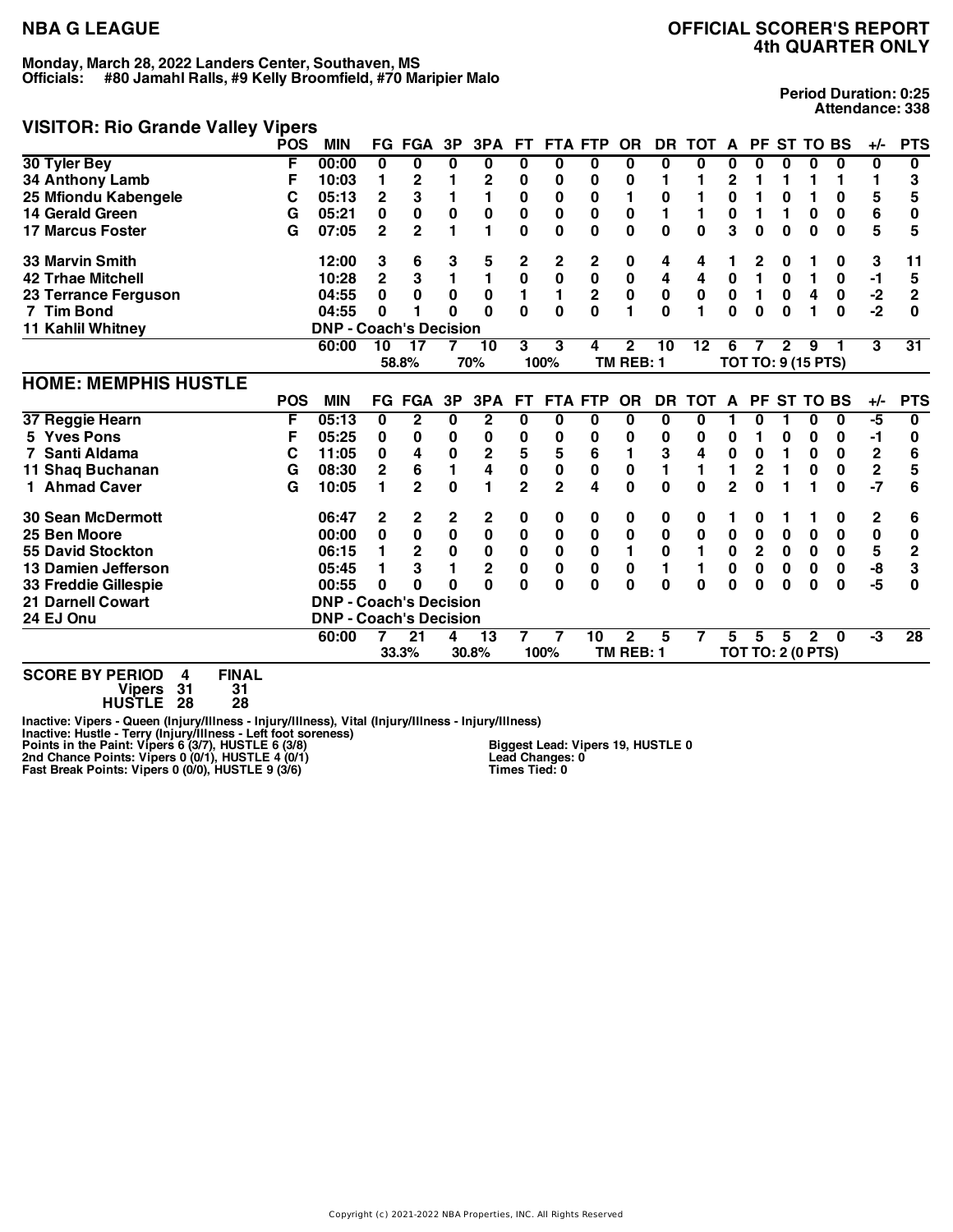## **VISITOR: Rio Grande Valley Vipers**

**Period Duration: 0:25 Attendance: 338**

| $\frac{1}{2}$               | <b>THAIR</b> |                               |                |                |           |                |                |                |                         |              |           |       |                |                           |             |                 |              |                         |              |
|-----------------------------|--------------|-------------------------------|----------------|----------------|-----------|----------------|----------------|----------------|-------------------------|--------------|-----------|-------|----------------|---------------------------|-------------|-----------------|--------------|-------------------------|--------------|
|                             | <b>POS</b>   | <b>MIN</b>                    |                | <b>FG FGA</b>  | 3P        | 3PA            | FT.            |                | <b>FTA FTP</b>          | <b>OR</b>    | <b>DR</b> | тот   | A              | <b>PF</b>                 |             | <b>ST TO BS</b> |              | +/-                     | <b>PTS</b>   |
| 30 Tyler Bey                | F            | 00:00                         | $\bf{0}$       | 0              | $\bf{0}$  | 0              | 0              | 0              | 0                       | 0            | $\bf{0}$  | 0     | 0              | 0                         | 0           | 0               | 0            | 0                       | 0            |
| 34 Anthony Lamb             | F            | 10:03                         |                | $\mathbf 2$    |           | 2              | 0              | 0              | 0                       | 0            |           |       | 2              |                           | 1           |                 | 1            |                         | 3            |
| 25 Mfiondu Kabengele        | С            | 05:13                         | 2              | 3              |           | 1              | 0              | 0              | 0                       | 1            | 0         | 1     | 0              |                           | 0           |                 | 0            | 5                       | 5            |
| 14 Gerald Green             | G            | 05:21                         | 0              | 0              | $\bf{0}$  | $\mathbf 0$    | $\bf{0}$       | 0              | 0                       | $\pmb{0}$    | 1         | 1     | 0              |                           | 1           | $\bf{0}$        | $\bf{0}$     | 6                       | 0            |
| <b>17 Marcus Foster</b>     | G            | 07:05                         | $\overline{2}$ | $\overline{2}$ |           | 1              | 0              | $\bf{0}$       | 0                       | 0            | 0         | 0     | 3              | 0                         | 0           | $\bf{0}$        | $\bf{0}$     | 5                       | 5            |
| <b>33 Marvin Smith</b>      |              | 12:00                         | 3              | 6              | 3         | 5              | 2              | 2              | 2                       | 0            | 4         | 4     |                | 2                         | 0           |                 | 0            | 3                       | 11           |
| <b>42 Trhae Mitchell</b>    |              | 10:28                         | 2              | 3              |           | 1              | $\mathbf 0$    | $\pmb{0}$      | $\pmb{0}$               | $\pmb{0}$    | 4         | 4     | 0              | 1                         | $\bf{0}$    | 1               | 0            | $-1$                    | 5            |
| 23 Terrance Ferguson        |              | 04:55                         | 0              | 0              | 0         | $\bf{0}$       | 1              | 1              | $\overline{\mathbf{2}}$ | $\pmb{0}$    | $\pmb{0}$ | 0     | $\pmb{0}$      | 1                         | $\mathbf 0$ | 4               | $\bf{0}$     | $-2$                    | $\mathbf{2}$ |
| 7 Tim Bond                  |              | 04:55                         | 0              |                | O         | $\Omega$       | $\mathbf{0}$   | $\bf{0}$       | U                       | 1            | $\Omega$  | 1     | $\mathbf{0}$   | $\bf{0}$                  | $\bf{0}$    |                 | $\bf{0}$     | $-2$                    | $\Omega$     |
| 11 Kahlil Whitney           |              | <b>DNP - Coach's Decision</b> |                |                |           |                |                |                |                         |              |           |       |                |                           |             |                 |              |                         |              |
|                             |              | 60:00                         | 10             | 17             |           | 10             | 3              | 3              | 4                       | $\mathbf{2}$ | 10        | 12    | 6              |                           | 2           | 9               |              | 3                       | 31           |
|                             |              |                               |                | 58.8%          |           | 70%            |                | 100%           |                         | TM REB: 1    |           |       |                | <b>TOT TO: 9 (15 PTS)</b> |             |                 |              |                         |              |
| <b>HOME: MEMPHIS HUSTLE</b> |              |                               |                |                |           |                |                |                |                         |              |           |       |                |                           |             |                 |              |                         |              |
|                             | <b>POS</b>   | <b>MIN</b>                    |                | <b>FG FGA</b>  | 3P        | 3PA            | <b>FT</b>      |                | <b>FTA FTP</b>          | <b>OR</b>    | <b>DR</b> | TOT A |                |                           |             | PF ST TO BS     |              | $+/-$                   | <b>PTS</b>   |
| 37 Reggie Hearn             | F            | 05:13                         | 0              | $\overline{2}$ | 0         | $\mathbf 2$    | 0              | 0              | 0                       | 0            | 0         | 0     |                | 0                         | 1           | 0               | 0            | $-5$                    | 0            |
| 5 Yves Pons                 | F            | 05:25                         | 0              | 0              | 0         | 0              | 0              | 0              | 0                       | 0            | 0         | 0     | 0              |                           | 0           | 0               | 0            | -1                      | 0            |
| Santi Aldama                | С            | 11:05                         | 0              | 4              | 0         | 2              | 5              | 5              | 6                       | 1            | 3         | 4     | $\mathbf 0$    | $\mathbf 0$               | 1           | 0               | 0            | 2                       | 6            |
| 11 Shaq Buchanan            | G            | 08:30                         | 2              | 6              | 1         | 4              | $\bf{0}$       | $\pmb{0}$      | 0                       | $\pmb{0}$    | 1         | 1     | 1              | $\mathbf{2}$              | 1           | $\bf{0}$        | $\bf{0}$     | $\overline{\mathbf{c}}$ | 5            |
| 1 Ahmad Caver               | G            | 10:05                         |                | $\overline{2}$ | $\Omega$  | 1              | $\overline{2}$ | $\overline{2}$ | 4                       | $\bf{0}$     | $\bf{0}$  | 0     | $\overline{2}$ | $\Omega$                  | 1           |                 | $\bf{0}$     | $-7$                    | 6            |
| <b>30 Sean McDermott</b>    |              | 06:47                         | 2              | 2              | 2         | 2              | 0              | 0              | 0                       | 0            | 0         | 0     |                | 0                         |             |                 | 0            | 2                       | 6            |
| 25 Ben Moore                |              | 00:00                         | 0              | 0              | $\pmb{0}$ | 0              | 0              | 0              | $\bf{0}$                | 0            | 0         | 0     | 0              | 0                         | 0           | 0               | 0            | 0                       | 0            |
| <b>55 David Stockton</b>    |              | 06:15                         |                | 2              | $\bf{0}$  | $\bf{0}$       | $\mathbf{0}$   | $\pmb{0}$      | $\bf{0}$                | 1            | $\pmb{0}$ | 1     | 0              | $\mathbf 2$               | $\bf{0}$    | $\mathbf 0$     | $\mathbf{0}$ | 5                       | $\mathbf{2}$ |
| 13 Damien Jefferson         |              | 05:45                         |                | 3              |           | $\overline{2}$ | $\mathbf{0}$   | $\pmb{0}$      | 0                       | $\pmb{0}$    | 1         | 1     | 0              | $\mathbf 0$               | $\bf{0}$    | 0               | 0            | -8                      | 3            |
| 33 Freddie Gillespie        |              | 00:55                         | 0              | 0              | $\bf{0}$  | $\Omega$       | 0              | 0              | 0                       | 0            | 0         | 0     | 0              | $\bf{0}$                  | 0           | $\bf{0}$        | $\bf{0}$     | -5                      | 0            |
| <b>21 Darnell Cowart</b>    |              | <b>DNP - Coach's Decision</b> |                |                |           |                |                |                |                         |              |           |       |                |                           |             |                 |              |                         |              |
| 24 EJ Onu                   |              | <b>DNP - Coach's Decision</b> |                |                |           |                |                |                |                         |              |           |       |                |                           |             |                 |              |                         |              |
|                             |              | 60:00                         |                | 21             | 4         | 13             | 7              |                | 10                      | $\mathbf{2}$ | 5         | 7     | 5              | 5                         | 5           | 2               | $\bf{0}$     | -3                      | 28           |
|                             |              |                               |                | 33.3%          |           | 30.8%          |                | 100%           |                         | TM REB: 1    |           |       |                | <b>TOT TO: 2 (0 PTS)</b>  |             |                 |              |                         |              |
| $\cdots \cdots \cdots$      |              |                               |                |                |           |                |                |                |                         |              |           |       |                |                           |             |                 |              |                         |              |

**SCORE BY PERIOD 4 FINAL Vipers 31 31**

**HUSTLE 28 28**

Inactive: Vipers - Queen (Injury/Illness - Injury/Illness), Vital (Injury/Illness - Injury/Illness)<br>Inactive: Hustle - Terry (Injury/Illness - Left foot soreness)<br>Points in the Paint: Vipers 6 (3/7), HUSTLE 6 (3/8)

**Biggest Lead: Vipers 19, HUSTLE 0 Lead Changes: 0 Times Tied: 0**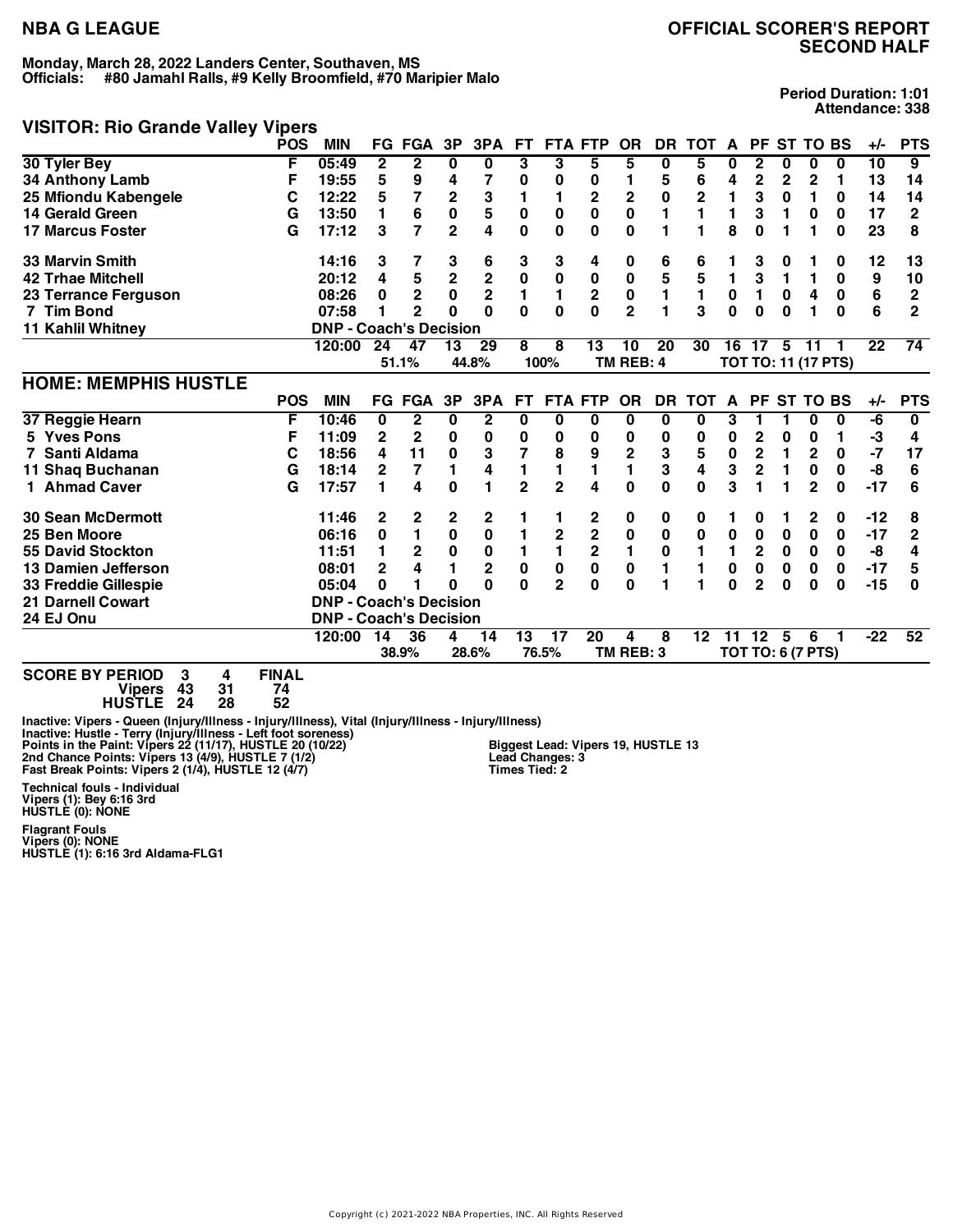## **NBA G LEAGUE OFFICIAL SCORER'S REPORT SECOND HALF**

## **VISITOR: Rio Grande Valley Vipers**

**Period Duration: 1:01 Attendance: 338**

|                                                                                                                           | <b>POS</b>             | <b>MIN</b>                    |                | <b>FG FGA</b>  | 3P                      | 3PA                     | FТ             | <b>FTA</b>     | <b>FTP</b>              | <b>OR</b>      | <b>DR</b>    | тот                     | A            | РF             |              | <b>ST TO BS</b>            |           | +/-             | <b>PTS</b>     |
|---------------------------------------------------------------------------------------------------------------------------|------------------------|-------------------------------|----------------|----------------|-------------------------|-------------------------|----------------|----------------|-------------------------|----------------|--------------|-------------------------|--------------|----------------|--------------|----------------------------|-----------|-----------------|----------------|
| 30 Tyler Bey                                                                                                              | F                      | 05:49                         | 2              | $\mathbf{2}$   | $\bf{0}$                | 0                       | 3              | 3              | 5                       | 5              | 0            | 5                       | 0            | $\mathbf{2}$   | 0            | 0                          | 0         | $\overline{10}$ | $\overline{9}$ |
| 34 Anthony Lamb                                                                                                           | F                      | 19:55                         | 5              | 9              |                         | 7                       | 0              | 0              | 0                       | 1              | 5            | 6                       | 4            | 2              | $\mathbf 2$  | 2                          | 1         | 13              | 14             |
| 25 Mfiondu Kabengele                                                                                                      | С                      | 12:22                         | 5              | 7              | 2                       | 3                       | 1              | 1              | 2                       |                | $\pmb{0}$    | $\overline{\mathbf{c}}$ | 1            | 3              | $\bf{0}$     | 1                          | 0         | 14              | 14             |
| <b>14 Gerald Green</b>                                                                                                    | G                      | 13:50                         | 1              | 6              | $\mathbf 0$             | 5                       | $\mathbf 0$    | $\mathbf 0$    | 0                       | $\frac{2}{0}$  | 1            | $\blacksquare$          | 1            | 3              | 1            | 0                          | 0         | 17              | $\overline{2}$ |
| <b>17 Marcus Foster</b>                                                                                                   | G                      | 17:12                         | 3              | 7              | $\overline{2}$          | 4                       | 0              | 0              | $\bf{0}$                | $\bf{0}$       | 1            | 1                       | 8            | $\bf{0}$       | 1            |                            | $\bf{0}$  | 23              | 8              |
| <b>33 Marvin Smith</b>                                                                                                    |                        | 14:16                         | 3              | 7              | 3                       | 6                       | 3              | 3              | 4                       | 0              | 6            | 6                       |              | 3              | 0            |                            | 0         | 12              | 13             |
| <b>42 Trhae Mitchell</b>                                                                                                  |                        | 20:12                         | 4              |                | $\overline{\mathbf{c}}$ |                         | $\pmb{0}$      | $\bf{0}$       | $\pmb{0}$               | $\pmb{0}$      | 5            | 5                       | $\mathbf{1}$ | 3              | 1            | 1                          | 0         | 9               | 10             |
| 23 Terrance Ferguson                                                                                                      |                        | 08:26                         | 0              | 5<br>2         | $\mathbf 0$             | $\frac{2}{2}$           | 1              | $\mathbf{1}$   | $\mathbf 2$             | $\pmb{0}$      | 1            | 1                       | 0            | 1              | $\bf{0}$     | 4                          | $\pmb{0}$ | 6               | $\mathbf 2$    |
| 7 Tim Bond                                                                                                                |                        | 07:58                         |                | $\overline{2}$ | $\bf{0}$                | $\Omega$                | $\Omega$       | $\mathbf{0}$   | 0                       | $\overline{2}$ | 1            | 3                       | $\mathbf{0}$ | $\bf{0}$       | $\bf{0}$     |                            | $\bf{0}$  | 6               | $\overline{2}$ |
| <b>11 Kahlil Whitney</b>                                                                                                  |                        | <b>DNP - Coach's Decision</b> |                |                |                         |                         |                |                |                         |                |              |                         |              |                |              |                            |           |                 |                |
|                                                                                                                           |                        | 120:00                        | 24             | 47             | 13                      | 29                      | 8              | 8              | 13                      | 10             | 20           | 30                      | 16           | 17             | 5            | 11                         |           | 22              | 74             |
|                                                                                                                           |                        |                               |                | 51.1%          |                         | 44.8%                   |                | 100%           |                         | TM REB: 4      |              |                         |              |                |              | <b>TOT TO: 11 (17 PTS)</b> |           |                 |                |
| <b>HOME: MEMPHIS HUSTLE</b>                                                                                               |                        |                               |                |                |                         |                         |                |                |                         |                |              |                         |              |                |              |                            |           |                 |                |
|                                                                                                                           | <b>POS</b>             | <b>MIN</b>                    |                | FG FGA         | 3P                      | 3PA                     | <b>FT</b>      |                | <b>FTA FTP</b>          | <b>OR</b>      | DR           | <b>TOT</b>              | $\mathbf{A}$ |                |              | PF ST TO BS                |           | $+/-$           | <b>PTS</b>     |
| 37 Reggie Hearn                                                                                                           | F                      | 10:46                         | 0              | $\overline{2}$ | 0                       | $\mathbf 2$             | 0              | 0              | 0                       | 0              | 0            | 0                       | 3            |                | 1            | 0                          | 0         | -6              | 0              |
| <b>Yves Pons</b>                                                                                                          | F                      | 11:09                         | $\mathbf{2}$   | 2              | 0                       | 0                       | 0              | 0              | 0                       | 0              | 0            | 0                       | 0            | 2              | 0            | 0                          | 1         | $-3$            | 4              |
| Santi Aldama                                                                                                              | С                      | 18:56                         | 4              | 11             | 0                       | 3                       | 7              | 8              | 9                       | $\mathbf 2$    | 3            | 5                       | $\pmb{0}$    | $\mathbf{2}$   | 1            | $\mathbf 2$                | 0         | $-7$            | 17             |
| 11 Shaq Buchanan                                                                                                          | G                      | 18:14                         | $\overline{2}$ | 7              | 1                       | 4                       | 1              | 1              | 1                       | $\blacksquare$ | 3            | 4                       | 3            | $\mathbf 2$    | $\mathbf{1}$ | $\pmb{0}$                  | $\bf{0}$  | -8              | 6              |
| 1 Ahmad Caver                                                                                                             | G                      | 17:57                         |                | 4              | $\bf{0}$                | 1                       | $\overline{2}$ | $\overline{2}$ | 4                       | $\bf{0}$       | $\mathbf{0}$ | 0                       | 3            |                | 1            | $\overline{2}$             | $\bf{0}$  | $-17$           | 6              |
| <b>30 Sean McDermott</b>                                                                                                  |                        | 11:46                         | 2              | 2              | 2                       | 2                       |                |                | 2                       | 0              | 0            | 0                       | 1.           | 0              |              | 2                          | 0         | $-12$           | 8              |
| 25 Ben Moore                                                                                                              |                        | 06:16                         | 0              | 1              | $\bf{0}$                | $\pmb{0}$               |                | $\mathbf 2$    | $\mathbf 2$             | $\bf{0}$       | $\pmb{0}$    | 0                       | 0            | 0              | 0            | 0                          | 0         | $-17$           | $\mathbf{2}$   |
| <b>55 David Stockton</b>                                                                                                  |                        | 11:51                         |                | 2              | $\bf{0}$                | $\pmb{0}$               | 1              | 1              | $\overline{\mathbf{c}}$ | $\mathbf{1}$   | 0            | 1                       | 1            | $\mathbf 2$    | $\bf{0}$     | $\mathbf 0$                | $\bf{0}$  | -8              | 4              |
| 13 Damien Jefferson                                                                                                       |                        | 08:01                         | 2              | 4              |                         | $\overline{\mathbf{2}}$ | $\mathbf 0$    | $\pmb{0}$      | $\pmb{0}$               | $\pmb{0}$      | 1            |                         | 0            | $\pmb{0}$      | 0            | 0                          | 0         | $-17$           | 5              |
| 33 Freddie Gillespie                                                                                                      |                        | 05:04                         | 0              |                | 0                       | $\Omega$                | O              | $\overline{2}$ | 0                       | 0              | 1            | 1                       | 0            | $\overline{2}$ | 0            | 0                          | $\bf{0}$  | $-15$           | O              |
| <b>21 Darnell Cowart</b>                                                                                                  |                        | <b>DNP - Coach's Decision</b> |                |                |                         |                         |                |                |                         |                |              |                         |              |                |              |                            |           |                 |                |
| 24 EJ Onu                                                                                                                 |                        | <b>DNP - Coach's Decision</b> |                |                |                         |                         |                |                |                         |                |              |                         |              |                |              |                            |           |                 |                |
|                                                                                                                           |                        | 120:00                        | 14             | 36             | 4                       | 14                      | 13             | 17             | $\overline{20}$         |                | 8            | 12                      | 11           | 12             | 5            | 6                          |           | $-22$           | 52             |
|                                                                                                                           |                        |                               |                | 38.9%          |                         | 28.6%                   |                | 76.5%          |                         | TM REB: 3      |              |                         |              |                |              | <b>TOT TO: 6 (7 PTS)</b>   |           |                 |                |
| $\bullet \bullet \bullet \bullet \bullet \bullet \bullet \bullet \bullet \bullet \bullet \bullet \bullet \bullet \bullet$ | $\cdots \cdots \cdots$ |                               |                |                |                         |                         |                |                |                         |                |              |                         |              |                |              |                            |           |                 |                |

**SCORE BY PERIOD 3 4 FINAL Vipers 43 31 74 HUSTLE 24 28 52**

Inactive: Vipers - Queen (Injury/Illness - Injury/Illness), Vital (Injury/Illness - Injury/Illness)<br>Inactive: Hustle - Terry (Injury/Illness - Left foot soreness)<br>Points in the Paint: Vipers 22 (11/17), HUSTLE Z0 (10/22) B **Biggest Lead: Vipers 19, HUSTLE 13 Lead Changes: 3 Times Tied: 2**

**Technical fouls - Individual Vipers (1): Bey 6:16 3rd HUSTLE (0): NONE Flagrant Fouls Vipers (0): NONE HUSTLE (1): 6:16 3rd Aldama-FLG1**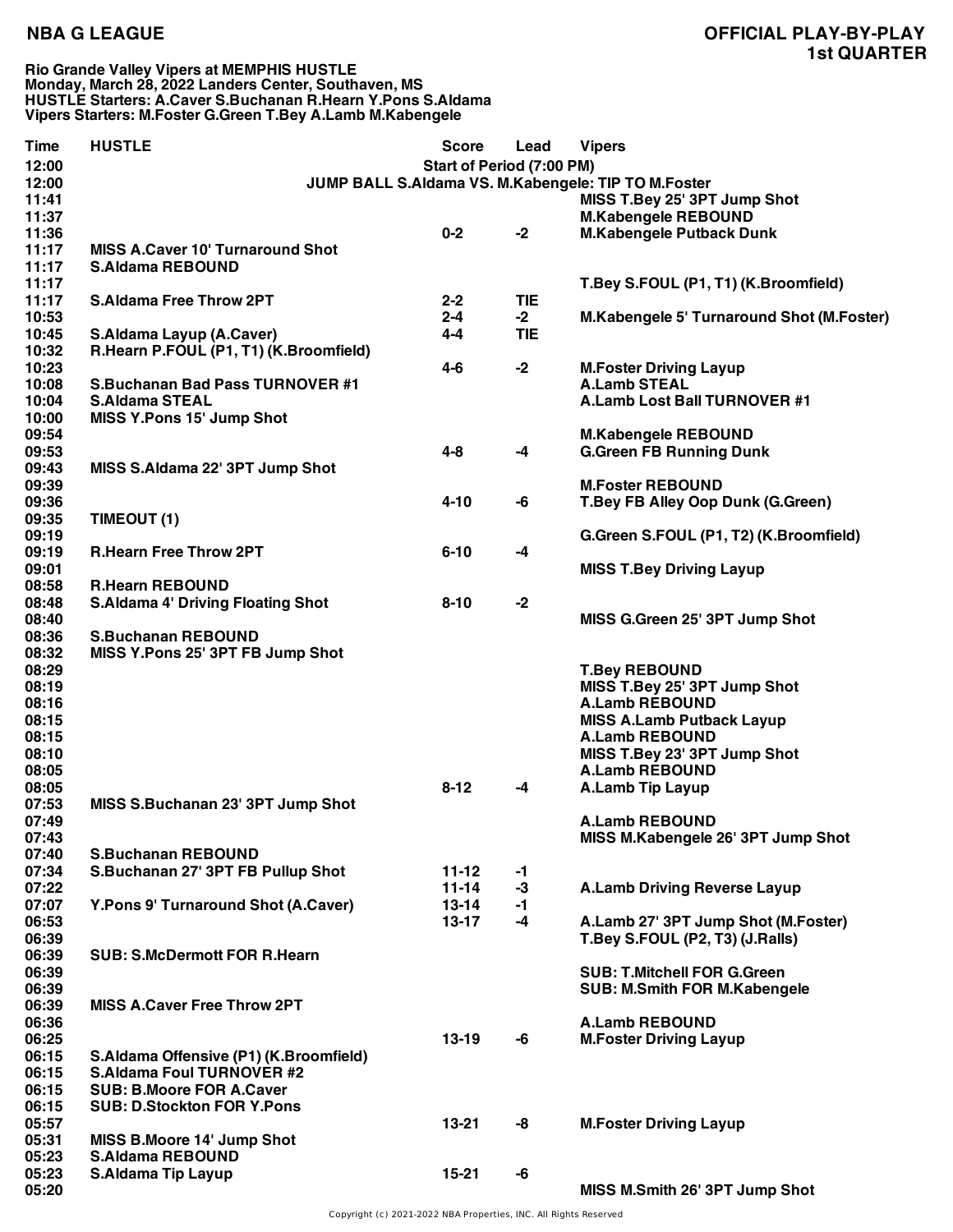### **Rio Grande Valley Vipers at MEMPHIS HUSTLE Monday, March 28, 2022 Landers Center, Southaven, MS HUSTLE Starters: A.Caver S.Buchanan R.Hearn Y.Pons S.Aldama Vipers Starters: M.Foster G.Green T.Bey A.Lamb M.Kabengele**

| Time  | <b>HUSTLE</b>                            | <b>Score</b>              | Lead       | <b>Vipers</b>                                       |
|-------|------------------------------------------|---------------------------|------------|-----------------------------------------------------|
| 12:00 |                                          | Start of Period (7:00 PM) |            |                                                     |
| 12:00 |                                          |                           |            | JUMP BALL S.Aldama VS. M.Kabengele: TIP TO M.Foster |
| 11:41 |                                          |                           |            | MISS T.Bey 25' 3PT Jump Shot                        |
| 11:37 |                                          |                           |            | <b>M.Kabengele REBOUND</b>                          |
| 11:36 |                                          | $0 - 2$                   | $-2$       | <b>M.Kabengele Putback Dunk</b>                     |
| 11:17 | <b>MISS A.Caver 10' Turnaround Shot</b>  |                           |            |                                                     |
| 11:17 | <b>S.Aldama REBOUND</b>                  |                           |            |                                                     |
| 11:17 |                                          |                           |            | T.Bey S.FOUL (P1, T1) (K.Broomfield)                |
| 11:17 | <b>S.Aldama Free Throw 2PT</b>           | $2 - 2$                   | <b>TIE</b> |                                                     |
| 10:53 |                                          | $2 - 4$                   | $-2$       | M.Kabengele 5' Turnaround Shot (M.Foster)           |
| 10:45 | <b>S.Aldama Layup (A.Caver)</b>          | $4-4$                     | <b>TIE</b> |                                                     |
| 10:32 | R.Hearn P.FOUL (P1, T1) (K.Broomfield)   |                           |            |                                                     |
| 10:23 |                                          | $4 - 6$                   | $-2$       | <b>M.Foster Driving Layup</b>                       |
| 10:08 | <b>S.Buchanan Bad Pass TURNOVER #1</b>   |                           |            | <b>A.Lamb STEAL</b>                                 |
| 10:04 | <b>S.Aldama STEAL</b>                    |                           |            | A.Lamb Lost Ball TURNOVER #1                        |
| 10:00 | <b>MISS Y.Pons 15' Jump Shot</b>         |                           |            |                                                     |
| 09:54 |                                          |                           |            | <b>M.Kabengele REBOUND</b>                          |
| 09:53 |                                          | $4 - 8$                   | -4         | <b>G.Green FB Running Dunk</b>                      |
| 09:43 | MISS S.Aldama 22' 3PT Jump Shot          |                           |            |                                                     |
| 09:39 |                                          |                           |            | <b>M.Foster REBOUND</b>                             |
| 09:36 |                                          | $4 - 10$                  | -6         | T.Bey FB Alley Oop Dunk (G.Green)                   |
| 09:35 | TIMEOUT (1)                              |                           |            |                                                     |
| 09:19 |                                          |                           |            | G.Green S.FOUL (P1, T2) (K.Broomfield)              |
| 09:19 | <b>R.Hearn Free Throw 2PT</b>            | $6 - 10$                  | -4         |                                                     |
| 09:01 |                                          |                           |            | <b>MISS T.Bey Driving Layup</b>                     |
| 08:58 | <b>R.Hearn REBOUND</b>                   |                           |            |                                                     |
| 08:48 | <b>S.Aldama 4' Driving Floating Shot</b> | $8 - 10$                  | $-2$       |                                                     |
| 08:40 |                                          |                           |            | MISS G.Green 25' 3PT Jump Shot                      |
| 08:36 | <b>S.Buchanan REBOUND</b>                |                           |            |                                                     |
| 08:32 | MISS Y.Pons 25' 3PT FB Jump Shot         |                           |            |                                                     |
| 08:29 |                                          |                           |            | <b>T.Bey REBOUND</b>                                |
| 08:19 |                                          |                           |            | MISS T.Bey 25' 3PT Jump Shot                        |
| 08:16 |                                          |                           |            | <b>A.Lamb REBOUND</b>                               |
| 08:15 |                                          |                           |            | <b>MISS A.Lamb Putback Layup</b>                    |
| 08:15 |                                          |                           |            | <b>A.Lamb REBOUND</b>                               |
| 08:10 |                                          |                           |            | MISS T.Bey 23' 3PT Jump Shot                        |
| 08:05 |                                          |                           |            | <b>A.Lamb REBOUND</b>                               |
| 08:05 |                                          | $8 - 12$                  | -4         | <b>A.Lamb Tip Layup</b>                             |
| 07:53 | MISS S.Buchanan 23' 3PT Jump Shot        |                           |            |                                                     |
| 07:49 |                                          |                           |            | <b>A.Lamb REBOUND</b>                               |
| 07:43 |                                          |                           |            | MISS M.Kabengele 26' 3PT Jump Shot                  |
| 07:40 | <b>S.Buchanan REBOUND</b>                |                           |            |                                                     |
| 07:34 | S.Buchanan 27' 3PT FB Pullup Shot        | $11 - 12$                 | -1         |                                                     |
| 07:22 |                                          | $11 - 14$                 | $-3$       | <b>A.Lamb Driving Reverse Layup</b>                 |
| 07:07 | Y.Pons 9' Turnaround Shot (A.Caver)      | $13 - 14$                 | -1         |                                                     |
| 06:53 |                                          | $13 - 17$                 | $-4$       | A.Lamb 27' 3PT Jump Shot (M.Foster)                 |
| 06:39 |                                          |                           |            | T.Bey S.FOUL (P2, T3) (J.Ralls)                     |
| 06:39 | <b>SUB: S.McDermott FOR R.Hearn</b>      |                           |            |                                                     |
| 06:39 |                                          |                           |            | <b>SUB: T.Mitchell FOR G.Green</b>                  |
| 06:39 |                                          |                           |            | <b>SUB: M.Smith FOR M.Kabengele</b>                 |
| 06:39 | <b>MISS A.Caver Free Throw 2PT</b>       |                           |            |                                                     |
| 06:36 |                                          |                           |            | <b>A.Lamb REBOUND</b>                               |
| 06:25 |                                          | $13-19$                   | -6         | <b>M.Foster Driving Layup</b>                       |
| 06:15 | S.Aldama Offensive (P1) (K.Broomfield)   |                           |            |                                                     |
| 06:15 | <b>S.Aldama Foul TURNOVER #2</b>         |                           |            |                                                     |
| 06:15 | <b>SUB: B.Moore FOR A.Caver</b>          |                           |            |                                                     |
| 06:15 | <b>SUB: D.Stockton FOR Y.Pons</b>        |                           |            |                                                     |
| 05:57 |                                          | 13-21                     | -8         | <b>M.Foster Driving Layup</b>                       |
| 05:31 | MISS B.Moore 14' Jump Shot               |                           |            |                                                     |
| 05:23 | <b>S.Aldama REBOUND</b>                  |                           |            |                                                     |
| 05:23 | <b>S.Aldama Tip Layup</b>                | $15 - 21$                 | -6         |                                                     |
| 05:20 |                                          |                           |            | MISS M.Smith 26' 3PT Jump Shot                      |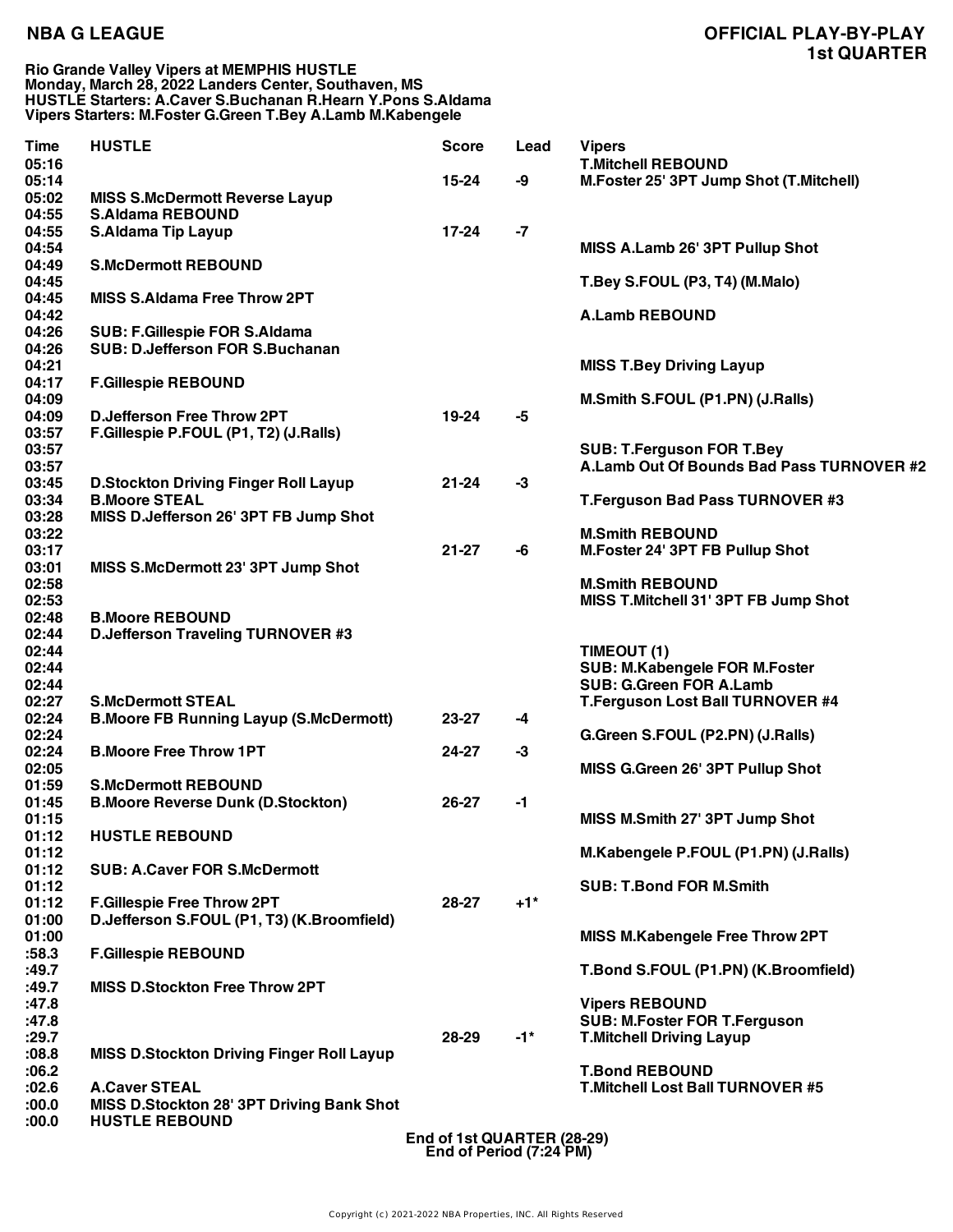## **NBA G LEAGUE OFFICIAL PLAY-BY-PLAY 1st QUARTER**

### **Rio Grande Valley Vipers at MEMPHIS HUSTLE Monday, March 28, 2022 Landers Center, Southaven, MS HUSTLE Starters: A.Caver S.Buchanan R.Hearn Y.Pons S.Aldama Vipers Starters: M.Foster G.Green T.Bey A.Lamb M.Kabengele**

| Time<br>05:16  | <b>HUSTLE</b>                                    | <b>Score</b> | Lead   | <b>Vipers</b><br><b>T.Mitchell REBOUND</b> |
|----------------|--------------------------------------------------|--------------|--------|--------------------------------------------|
| 05:14<br>05:02 | <b>MISS S.McDermott Reverse Layup</b>            | $15 - 24$    | -9     | M.Foster 25' 3PT Jump Shot (T.Mitchell)    |
| 04:55          | <b>S.Aldama REBOUND</b>                          |              |        |                                            |
| 04:55          | <b>S.Aldama Tip Layup</b>                        | 17-24        | $-7$   |                                            |
| 04:54          |                                                  |              |        | MISS A.Lamb 26' 3PT Pullup Shot            |
| 04:49          | <b>S.McDermott REBOUND</b>                       |              |        |                                            |
| 04:45          |                                                  |              |        | T.Bey S.FOUL (P3, T4) (M.Malo)             |
| 04:45          | <b>MISS S.Aldama Free Throw 2PT</b>              |              |        |                                            |
| 04:42          |                                                  |              |        | <b>A.Lamb REBOUND</b>                      |
| 04:26          | <b>SUB: F.Gillespie FOR S.Aldama</b>             |              |        |                                            |
| 04:26          | <b>SUB: D.Jefferson FOR S.Buchanan</b>           |              |        |                                            |
| 04:21          |                                                  |              |        | <b>MISS T.Bey Driving Layup</b>            |
| 04:17          | <b>F.Gillespie REBOUND</b>                       |              |        |                                            |
| 04:09          |                                                  |              |        | M.Smith S.FOUL (P1.PN) (J.Ralls)           |
| 04:09          | <b>D.Jefferson Free Throw 2PT</b>                | 19-24        | -5     |                                            |
| 03:57          | F.Gillespie P.FOUL (P1, T2) (J.Ralls)            |              |        |                                            |
| 03:57          |                                                  |              |        | <b>SUB: T.Ferguson FOR T.Bey</b>           |
| 03:57          |                                                  |              |        | A.Lamb Out Of Bounds Bad Pass TURNOVER #2  |
| 03:45          | <b>D.Stockton Driving Finger Roll Layup</b>      | $21 - 24$    | -3     |                                            |
| 03:34          | <b>B.Moore STEAL</b>                             |              |        | T.Ferguson Bad Pass TURNOVER #3            |
| 03:28          | MISS D.Jefferson 26' 3PT FB Jump Shot            |              |        |                                            |
| 03:22          |                                                  |              |        | <b>M.Smith REBOUND</b>                     |
| 03:17          |                                                  | $21 - 27$    | -6     | M.Foster 24' 3PT FB Pullup Shot            |
| 03:01          | MISS S.McDermott 23' 3PT Jump Shot               |              |        |                                            |
| 02:58          |                                                  |              |        | <b>M.Smith REBOUND</b>                     |
| 02:53          |                                                  |              |        | MISS T. Mitchell 31' 3PT FB Jump Shot      |
| 02:48          | <b>B.Moore REBOUND</b>                           |              |        |                                            |
| 02:44          | <b>D.Jefferson Traveling TURNOVER #3</b>         |              |        |                                            |
| 02:44          |                                                  |              |        | TIMEOUT (1)                                |
| 02:44          |                                                  |              |        | SUB: M.Kabengele FOR M.Foster              |
| 02:44          |                                                  |              |        | <b>SUB: G.Green FOR A.Lamb</b>             |
| 02:27          | <b>S.McDermott STEAL</b>                         |              |        | T.Ferguson Lost Ball TURNOVER #4           |
| 02:24          | <b>B.Moore FB Running Layup (S.McDermott)</b>    | 23-27        | -4     |                                            |
| 02:24          |                                                  |              |        | G.Green S.FOUL (P2.PN) (J.Ralls)           |
| 02:24          | <b>B.Moore Free Throw 1PT</b>                    | 24-27        | $-3$   |                                            |
| 02:05          |                                                  |              |        | MISS G.Green 26' 3PT Pullup Shot           |
| 01:59          | <b>S.McDermott REBOUND</b>                       |              |        |                                            |
| 01:45          | <b>B.Moore Reverse Dunk (D.Stockton)</b>         | 26-27        | -1     |                                            |
| 01:15          |                                                  |              |        | MISS M.Smith 27' 3PT Jump Shot             |
| 01:12          | <b>HUSTLE REBOUND</b>                            |              |        |                                            |
| 01:12          |                                                  |              |        | M.Kabengele P.FOUL (P1.PN) (J.Ralls)       |
| 01:12          | <b>SUB: A.Caver FOR S.McDermott</b>              |              |        |                                            |
| 01:12          |                                                  |              |        | <b>SUB: T.Bond FOR M.Smith</b>             |
| 01:12          | <b>F.Gillespie Free Throw 2PT</b>                | 28-27        | $+1$ * |                                            |
| 01:00          | D.Jefferson S.FOUL (P1, T3) (K.Broomfield)       |              |        |                                            |
| 01:00          |                                                  |              |        | MISS M.Kabengele Free Throw 2PT            |
| :58.3          | <b>F.Gillespie REBOUND</b>                       |              |        |                                            |
| :49.7          |                                                  |              |        | T.Bond S.FOUL (P1.PN) (K.Broomfield)       |
| :49.7          | <b>MISS D.Stockton Free Throw 2PT</b>            |              |        |                                            |
| :47.8          |                                                  |              |        | <b>Vipers REBOUND</b>                      |
| :47.8          |                                                  |              |        | <b>SUB: M.Foster FOR T.Ferguson</b>        |
| :29.7          |                                                  | 28-29        | $-1$ * | <b>T.Mitchell Driving Layup</b>            |
| 0.80:          | <b>MISS D.Stockton Driving Finger Roll Layup</b> |              |        |                                            |
| :06.2          |                                                  |              |        | <b>T.Bond REBOUND</b>                      |
| :02.6          | <b>A.Caver STEAL</b>                             |              |        | <b>T.Mitchell Lost Ball TURNOVER #5</b>    |
| :00.0          | MISS D.Stockton 28' 3PT Driving Bank Shot        |              |        |                                            |
| 0.00:          | <b>HUSTLE REBOUND</b>                            |              |        |                                            |

**End of 1st QUARTER (28-29) End of Period (7:24 PM)**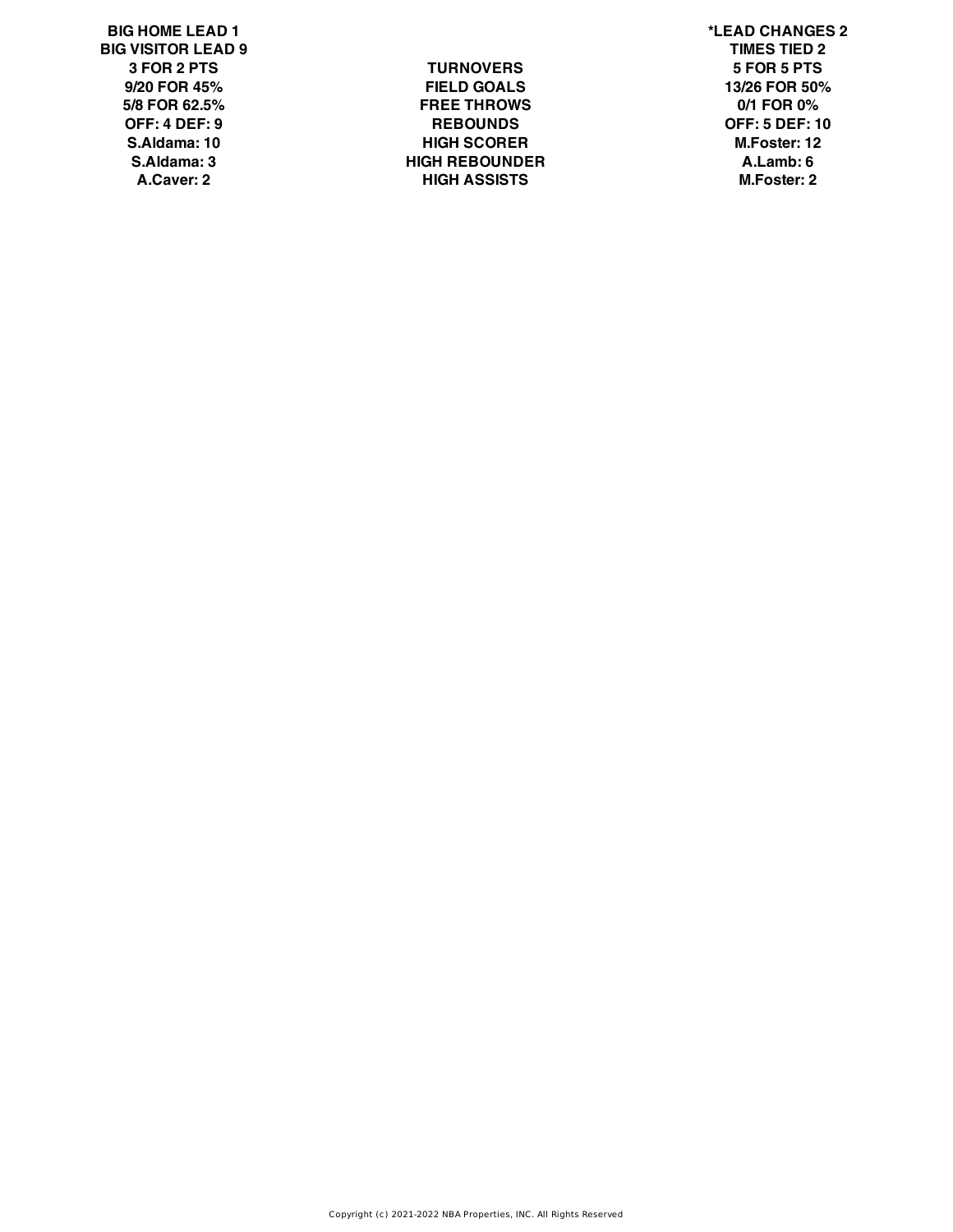**BIG HOME LEAD 1 \*LEAD CHANGES 2 BIG VISITOR LEAD 9 TIMES TIED 2**

**3 FOR 2 PTS TURNOVERS 5 FOR 5 PTS 9/20 FOR 45% FIELD GOALS 13/26 FOR 50% 5/8 FOR 62.5% FREE THROWS 0/1 FOR 0% OFF: 4 DEF: 9 REBOUNDS OFF: 5 DEF: 10 S.Aldama: 10 HIGH SCORER M.Foster: 12 S.Aldama: 3 HIGH REBOUNDER A.Lamb: 6 A.Caver: 2 HIGH ASSISTS M.Foster: 2**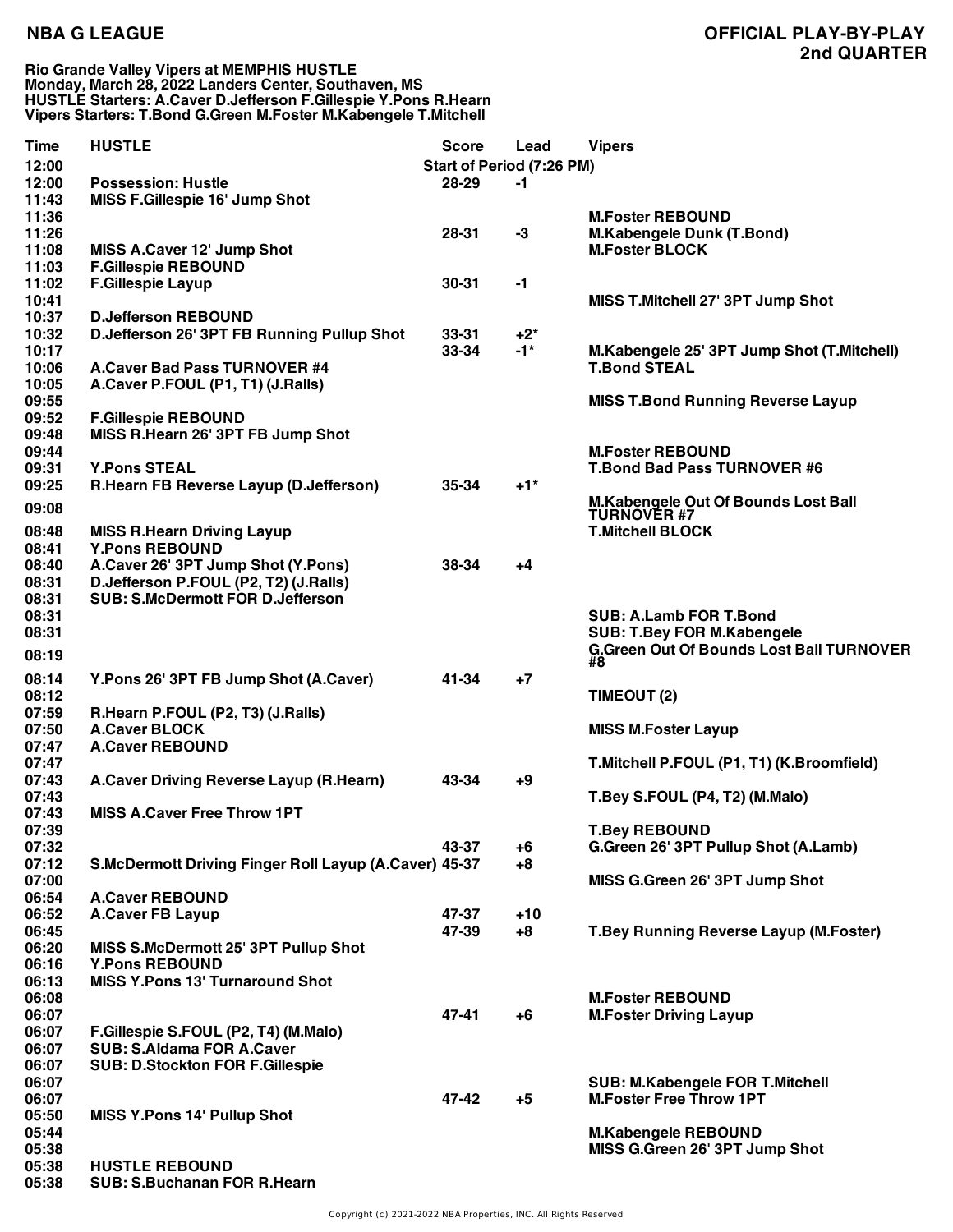**Rio Grande Valley Vipers at MEMPHIS HUSTLE Monday, March 28, 2022 Landers Center, Southaven, MS HUSTLE Starters: A.Caver D.Jefferson F.Gillespie Y.Pons R.Hearn Vipers Starters: T.Bond G.Green M.Foster M.Kabengele T.Mitchell**

| Time           | <b>HUSTLE</b>                                                            | <b>Score</b> | Lead                             | <b>Vipers</b>                                                |
|----------------|--------------------------------------------------------------------------|--------------|----------------------------------|--------------------------------------------------------------|
| 12:00          |                                                                          |              | <b>Start of Period (7:26 PM)</b> |                                                              |
| 12:00          | <b>Possession: Hustle</b>                                                | 28-29        | $-1$                             |                                                              |
| 11:43          | MISS F.Gillespie 16' Jump Shot                                           |              |                                  |                                                              |
| 11:36          |                                                                          |              |                                  | <b>M.Foster REBOUND</b>                                      |
| 11:26          |                                                                          | $28 - 31$    | $-3$                             | <b>M.Kabengele Dunk (T.Bond)</b>                             |
| 11:08          | MISS A.Caver 12' Jump Shot                                               |              |                                  | <b>M.Foster BLOCK</b>                                        |
| 11:03          | <b>F.Gillespie REBOUND</b>                                               |              |                                  |                                                              |
| 11:02          | <b>F.Gillespie Layup</b>                                                 | $30 - 31$    | $-1$                             |                                                              |
| 10:41          |                                                                          |              |                                  | MISS T.Mitchell 27' 3PT Jump Shot                            |
| 10:37          | <b>D.Jefferson REBOUND</b>                                               |              |                                  |                                                              |
| 10:32          | D.Jefferson 26' 3PT FB Running Pullup Shot                               | $33 - 31$    | $+2^*$                           |                                                              |
| 10:17          |                                                                          | 33-34        | $-1*$                            | M.Kabengele 25' 3PT Jump Shot (T.Mitchell)                   |
| 10:06          | <b>A.Caver Bad Pass TURNOVER #4</b>                                      |              |                                  | <b>T.Bond STEAL</b>                                          |
| 10:05          | A.Caver P.FOUL (P1, T1) (J.Ralls)                                        |              |                                  |                                                              |
| 09:55          |                                                                          |              |                                  | <b>MISS T.Bond Running Reverse Layup</b>                     |
| 09:52          | <b>F.Gillespie REBOUND</b>                                               |              |                                  |                                                              |
| 09:48          | MISS R.Hearn 26' 3PT FB Jump Shot                                        |              |                                  |                                                              |
| 09:44          |                                                                          |              |                                  | <b>M.Foster REBOUND</b>                                      |
| 09:31          | <b>Y.Pons STEAL</b>                                                      |              |                                  | <b>T.Bond Bad Pass TURNOVER #6</b>                           |
| 09:25          | R.Hearn FB Reverse Layup (D.Jefferson)                                   | 35-34        | $+1$ <sup>*</sup>                |                                                              |
|                |                                                                          |              |                                  | M.Kabengele Out Of Bounds Lost Ball                          |
| 09:08          |                                                                          |              |                                  | <b>TURNOVER #7</b>                                           |
| 08:48          | <b>MISS R.Hearn Driving Layup</b>                                        |              |                                  | <b>T.Mitchell BLOCK</b>                                      |
| 08:41          | <b>Y.Pons REBOUND</b>                                                    |              |                                  |                                                              |
| 08:40          | A.Caver 26' 3PT Jump Shot (Y.Pons)                                       | 38-34        | +4                               |                                                              |
| 08:31          | D.Jefferson P.FOUL (P2, T2) (J.Ralls)                                    |              |                                  |                                                              |
| 08:31          | <b>SUB: S.McDermott FOR D.Jefferson</b>                                  |              |                                  |                                                              |
| 08:31          |                                                                          |              |                                  | <b>SUB: A.Lamb FOR T.Bond</b>                                |
| 08:31          |                                                                          |              |                                  | <b>SUB: T.Bey FOR M.Kabengele</b>                            |
| 08:19          |                                                                          |              |                                  | <b>G.Green Out Of Bounds Lost Ball TURNOVER</b>              |
|                |                                                                          |              |                                  | #8                                                           |
| 08:14          | Y.Pons 26' 3PT FB Jump Shot (A.Caver)                                    | 41-34        | $+7$                             |                                                              |
| 08:12          |                                                                          |              |                                  | TIMEOUT (2)                                                  |
| 07:59          | R.Hearn P.FOUL (P2, T3) (J.Ralls)                                        |              |                                  |                                                              |
| 07:50          | <b>A.Caver BLOCK</b>                                                     |              |                                  | <b>MISS M.Foster Layup</b>                                   |
| 07:47          | <b>A.Caver REBOUND</b>                                                   |              |                                  |                                                              |
| 07:47          |                                                                          |              |                                  | T.Mitchell P.FOUL (P1, T1) (K.Broomfield)                    |
| 07:43          | A.Caver Driving Reverse Layup (R.Hearn)                                  | 43-34        | $+9$                             |                                                              |
| 07:43          |                                                                          |              |                                  | T.Bey S.FOUL (P4, T2) (M.Malo)                               |
| 07:43          | <b>MISS A.Caver Free Throw 1PT</b>                                       |              |                                  |                                                              |
| 07:39          |                                                                          |              |                                  | <b>T.Bey REBOUND</b>                                         |
| 07:32          |                                                                          | 43-37        | $+6$                             | G.Green 26' 3PT Pullup Shot (A.Lamb)                         |
| 07:12          | S.McDermott Driving Finger Roll Layup (A.Caver) 45-37                    |              | $+8$                             |                                                              |
| 07:00          |                                                                          |              |                                  | MISS G.Green 26' 3PT Jump Shot                               |
| 06:54          | <b>A.Caver REBOUND</b>                                                   |              |                                  |                                                              |
| 06:52          | <b>A.Caver FB Layup</b>                                                  | 47-37        | $+10$                            |                                                              |
| 06:45          |                                                                          | 47-39        | $+8$                             | <b>T.Bey Running Reverse Layup (M.Foster)</b>                |
| 06:20          | MISS S.McDermott 25' 3PT Pullup Shot                                     |              |                                  |                                                              |
| 06:16          | <b>Y.Pons REBOUND</b>                                                    |              |                                  |                                                              |
| 06:13          | <b>MISS Y.Pons 13' Turnaround Shot</b>                                   |              |                                  |                                                              |
| 06:08          |                                                                          | 47-41        |                                  | <b>M.Foster REBOUND</b>                                      |
| 06:07          |                                                                          |              | $+6$                             | <b>M.Foster Driving Layup</b>                                |
| 06:07          | F.Gillespie S.FOUL (P2, T4) (M.Malo)<br><b>SUB: S.Aldama FOR A.Caver</b> |              |                                  |                                                              |
| 06:07<br>06:07 |                                                                          |              |                                  |                                                              |
|                | <b>SUB: D.Stockton FOR F.Gillespie</b>                                   |              |                                  |                                                              |
| 06:07          |                                                                          | 47-42        |                                  | <b>SUB: M.Kabengele FOR T.Mitchell</b>                       |
| 06:07          |                                                                          |              | $+5$                             | <b>M.Foster Free Throw 1PT</b>                               |
| 05:50<br>05:44 | <b>MISS Y.Pons 14' Pullup Shot</b>                                       |              |                                  |                                                              |
| 05:38          |                                                                          |              |                                  | <b>M.Kabengele REBOUND</b><br>MISS G.Green 26' 3PT Jump Shot |
| 05:38          | <b>HUSTLE REBOUND</b>                                                    |              |                                  |                                                              |
| 05:38          | <b>SUB: S.Buchanan FOR R.Hearn</b>                                       |              |                                  |                                                              |
|                |                                                                          |              |                                  |                                                              |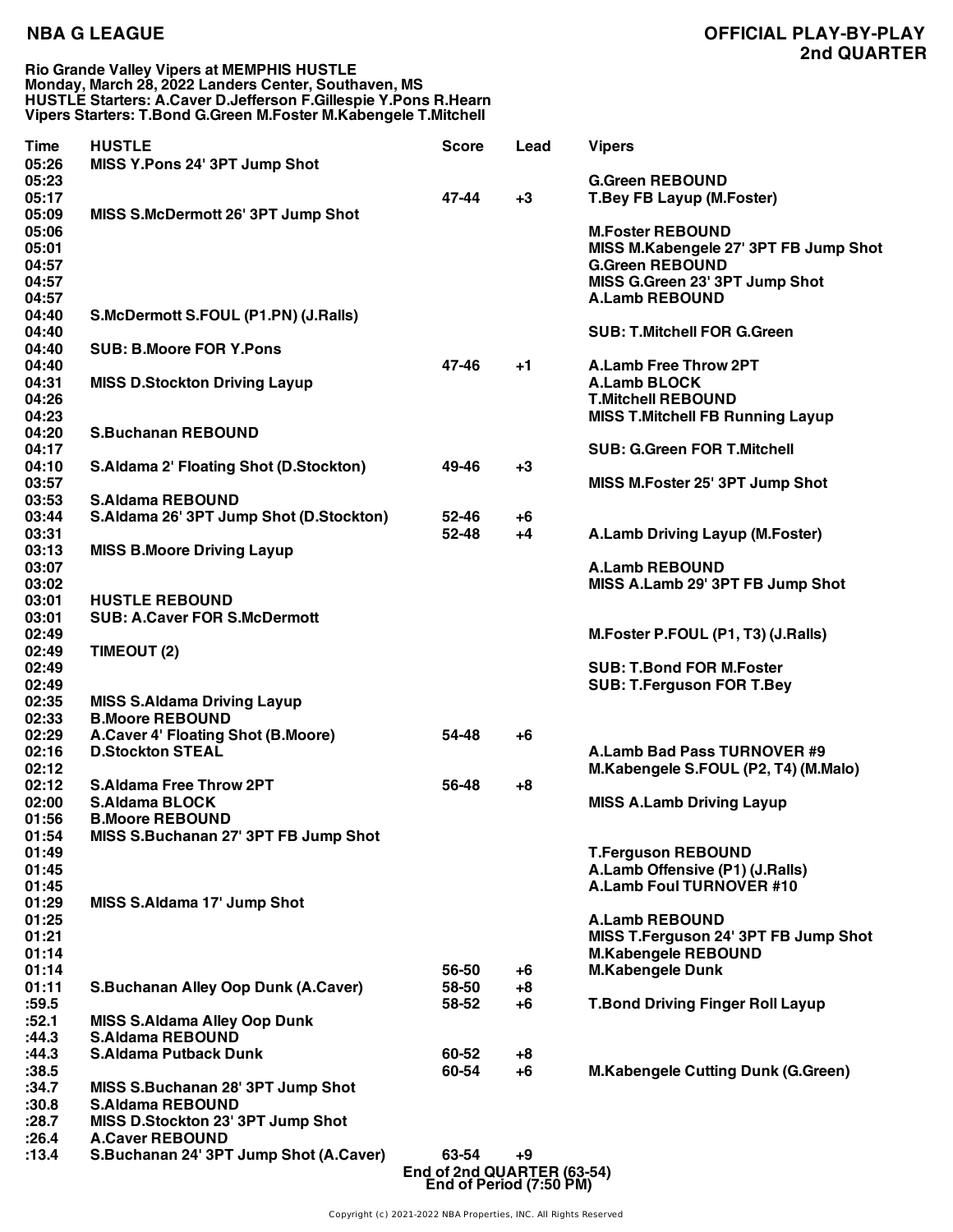### **Rio Grande Valley Vipers at MEMPHIS HUSTLE Monday, March 28, 2022 Landers Center, Southaven, MS HUSTLE Starters: A.Caver D.Jefferson F.Gillespie Y.Pons R.Hearn Vipers Starters: T.Bond G.Green M.Foster M.Kabengele T.Mitchell**

| <b>Time</b><br>05:26                               | <b>HUSTLE</b><br>MISS Y.Pons 24' 3PT Jump Shot                                                                            | <b>Score</b>                        | Lead           | <b>Vipers</b>                                                                                                                                         |
|----------------------------------------------------|---------------------------------------------------------------------------------------------------------------------------|-------------------------------------|----------------|-------------------------------------------------------------------------------------------------------------------------------------------------------|
| 05:23<br>05:17                                     |                                                                                                                           | 47-44                               | $+3$           | <b>G.Green REBOUND</b><br><b>T.Bey FB Layup (M.Foster)</b>                                                                                            |
| 05:09<br>05:06<br>05:01<br>04:57<br>04:57<br>04:57 | MISS S.McDermott 26' 3PT Jump Shot                                                                                        |                                     |                | <b>M.Foster REBOUND</b><br>MISS M.Kabengele 27' 3PT FB Jump Shot<br><b>G.Green REBOUND</b><br>MISS G.Green 23' 3PT Jump Shot<br><b>A.Lamb REBOUND</b> |
| 04:40<br>04:40                                     | S.McDermott S.FOUL (P1.PN) (J.Ralls)                                                                                      |                                     |                | <b>SUB: T.Mitchell FOR G.Green</b>                                                                                                                    |
| 04:40<br>04:40                                     | <b>SUB: B.Moore FOR Y.Pons</b>                                                                                            | 47-46                               | +1             | <b>A.Lamb Free Throw 2PT</b>                                                                                                                          |
| 04:31<br>04:26<br>04:23                            | <b>MISS D.Stockton Driving Layup</b>                                                                                      |                                     |                | <b>A.Lamb BLOCK</b><br><b>T.Mitchell REBOUND</b><br><b>MISS T.Mitchell FB Running Layup</b>                                                           |
| 04:20<br>04:17                                     | <b>S.Buchanan REBOUND</b>                                                                                                 |                                     |                | <b>SUB: G.Green FOR T.Mitchell</b>                                                                                                                    |
| 04:10<br>03:57<br>03:53                            | <b>S.Aldama 2' Floating Shot (D.Stockton)</b><br><b>S.Aldama REBOUND</b>                                                  | 49-46                               | $+3$           | MISS M.Foster 25' 3PT Jump Shot                                                                                                                       |
| 03:44<br>03:31                                     | S.Aldama 26' 3PT Jump Shot (D.Stockton)                                                                                   | 52-46<br>52-48                      | +6<br>$+4$     | A.Lamb Driving Layup (M.Foster)                                                                                                                       |
| 03:13<br>03:07<br>03:02                            | <b>MISS B.Moore Driving Layup</b>                                                                                         |                                     |                | <b>A.Lamb REBOUND</b><br>MISS A.Lamb 29' 3PT FB Jump Shot                                                                                             |
| 03:01                                              | <b>HUSTLE REBOUND</b>                                                                                                     |                                     |                |                                                                                                                                                       |
| 03:01<br>02:49<br>02:49                            | <b>SUB: A.Caver FOR S.McDermott</b><br>TIMEOUT (2)                                                                        |                                     |                | M.Foster P.FOUL (P1, T3) (J.Ralls)                                                                                                                    |
| 02:49<br>02:49                                     |                                                                                                                           |                                     |                | <b>SUB: T.Bond FOR M.Foster</b><br><b>SUB: T.Ferguson FOR T.Bey</b>                                                                                   |
| 02:35<br>02:33                                     | <b>MISS S.Aldama Driving Layup</b><br><b>B.Moore REBOUND</b>                                                              |                                     |                |                                                                                                                                                       |
| 02:29<br>02:16<br>02:12                            | A.Caver 4' Floating Shot (B.Moore)<br><b>D.Stockton STEAL</b>                                                             | 54-48                               | +6             | A.Lamb Bad Pass TURNOVER #9<br>M.Kabengele S.FOUL (P2, T4) (M.Malo)                                                                                   |
| 02:12<br>02:00<br>01:56<br>01:54                   | <b>S.Aldama Free Throw 2PT</b><br><b>S.Aldama BLOCK</b><br><b>B.Moore REBOUND</b><br>MISS S.Buchanan 27' 3PT FB Jump Shot | 56-48                               | $+8$           | <b>MISS A.Lamb Driving Layup</b>                                                                                                                      |
| 01:49<br>01:45<br>01:45                            |                                                                                                                           |                                     |                | <b>T.Ferguson REBOUND</b><br>A.Lamb Offensive (P1) (J.Ralls)<br><b>A.Lamb Foul TURNOVER #10</b>                                                       |
| 01:29<br>01:25<br>01:21<br>01:14<br>01:14          | MISS S.Aldama 17' Jump Shot                                                                                               |                                     |                | <b>A.Lamb REBOUND</b><br>MISS T.Ferguson 24' 3PT FB Jump Shot<br><b>M.Kabengele REBOUND</b><br><b>M.Kabengele Dunk</b>                                |
| 01:11<br>:59.5                                     | <b>S.Buchanan Alley Oop Dunk (A.Caver)</b>                                                                                | 56-50<br>58-50<br>58-52             | +6<br>+8<br>+6 | <b>T.Bond Driving Finger Roll Layup</b>                                                                                                               |
| :52.1<br>:44.3                                     | <b>MISS S.Aldama Alley Oop Dunk</b><br><b>S.Aldama REBOUND</b>                                                            |                                     |                |                                                                                                                                                       |
| :44.3<br>:38.5                                     | <b>S.Aldama Putback Dunk</b>                                                                                              | 60-52<br>60-54                      | +8<br>$+6$     | <b>M.Kabengele Cutting Dunk (G.Green)</b>                                                                                                             |
| :34.7<br>:30.8<br>:28.7                            | MISS S.Buchanan 28' 3PT Jump Shot<br><b>S.Aldama REBOUND</b><br>MISS D.Stockton 23' 3PT Jump Shot                         |                                     |                |                                                                                                                                                       |
| :26.4<br>:13.4                                     | <b>A.Caver REBOUND</b><br>S.Buchanan 24' 3PT Jump Shot (A.Caver)                                                          | 63-54<br>End of 2nd QUARTER (63-54) | +9             |                                                                                                                                                       |

Copyright (c) 2021-2022 NBA Properties, INC. All Rights Reserved

**End of Period (7:50 PM)**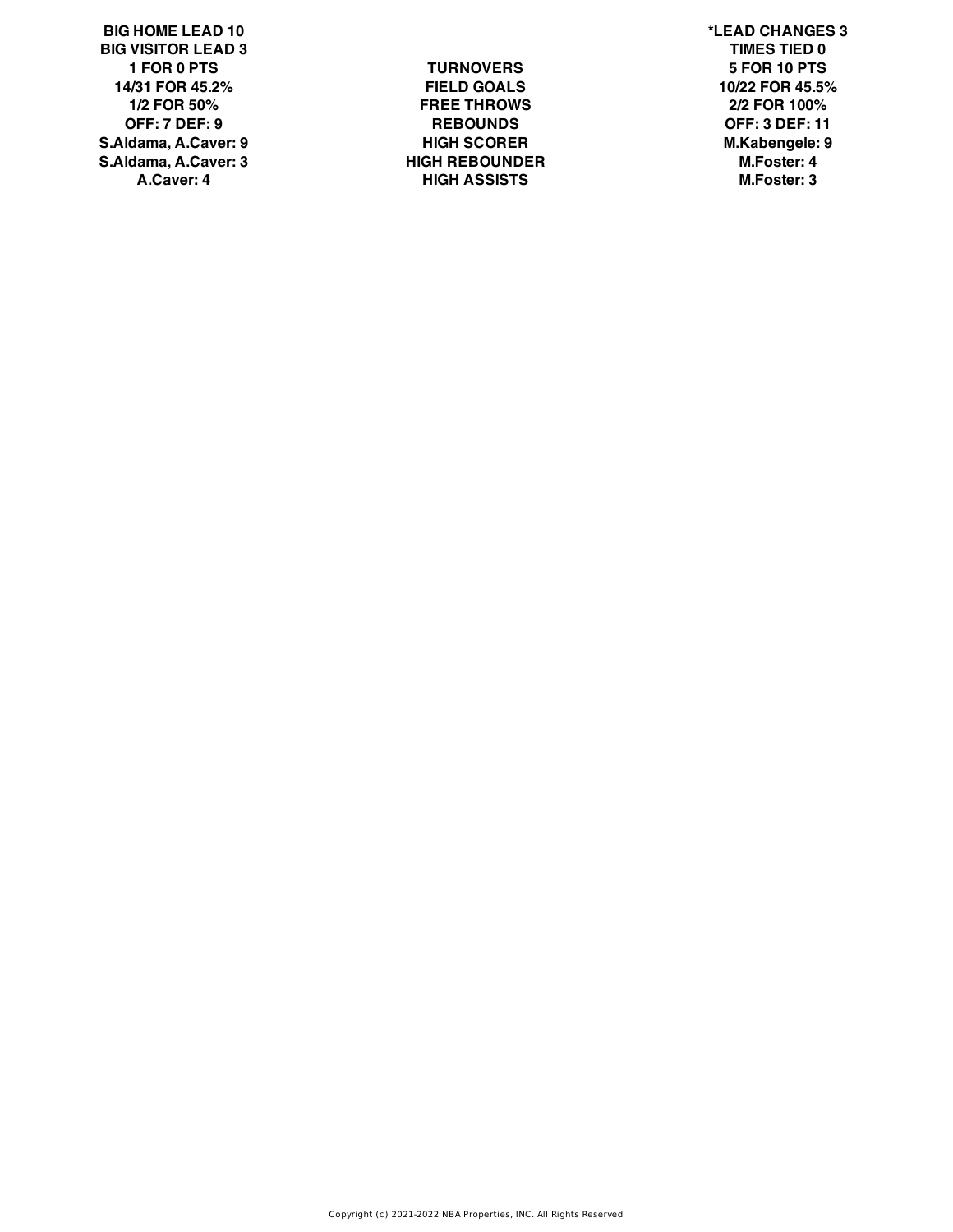**BIG HOME LEAD 10 \*LEAD CHANGES 3 BIG VISITOR LEAD 3 TIMES TIED 0 14/31 FOR 45.2% FIELD GOALS 10/22 FOR 45.5% S.Aldama, A.Caver: 9 HIGH SCORER M.Kabengele: 9 S.Aldama, A.Caver: 3 HIGH REBOUNDER M.Foster: 4**

**1 FOR 0 PTS TURNOVERS 5 FOR 10 PTS 1/2 FOR 50% FREE THROWS 2/2 FOR 100% OFF: 7 DEF: 9 REBOUNDS OFF: 3 DEF: 11 A.Caver: 4 HIGH ASSISTS M.Foster: 3**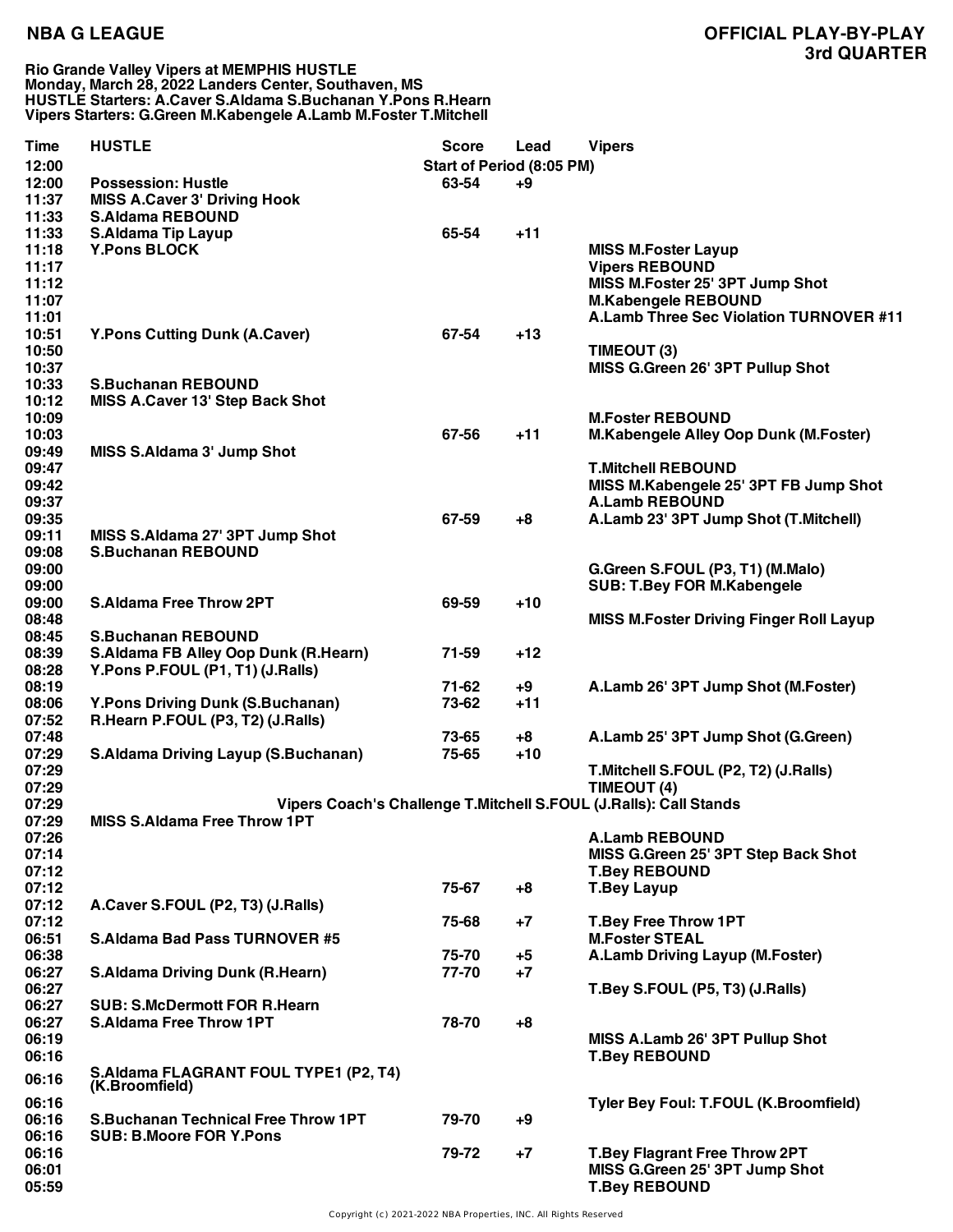**Rio Grande Valley Vipers at MEMPHIS HUSTLE Monday, March 28, 2022 Landers Center, Southaven, MS HUSTLE Starters: A.Caver S.Aldama S.Buchanan Y.Pons R.Hearn Vipers Starters: G.Green M.Kabengele A.Lamb M.Foster T.Mitchell**

| Time  | <b>HUSTLE</b>                              | <b>Score</b>              | Lead  | <b>Vipers</b>                                                     |
|-------|--------------------------------------------|---------------------------|-------|-------------------------------------------------------------------|
| 12:00 |                                            | Start of Period (8:05 PM) |       |                                                                   |
| 12:00 | <b>Possession: Hustle</b>                  | 63-54                     | +9    |                                                                   |
| 11:37 | <b>MISS A.Caver 3' Driving Hook</b>        |                           |       |                                                                   |
| 11:33 | <b>S.Aldama REBOUND</b>                    |                           |       |                                                                   |
| 11:33 | <b>S.Aldama Tip Layup</b>                  | 65-54                     | $+11$ |                                                                   |
|       |                                            |                           |       |                                                                   |
| 11:18 | <b>Y.Pons BLOCK</b>                        |                           |       | <b>MISS M.Foster Layup</b>                                        |
| 11:17 |                                            |                           |       | <b>Vipers REBOUND</b>                                             |
| 11:12 |                                            |                           |       | MISS M.Foster 25' 3PT Jump Shot                                   |
| 11:07 |                                            |                           |       | <b>M.Kabengele REBOUND</b>                                        |
| 11:01 |                                            |                           |       | A.Lamb Three Sec Violation TURNOVER #11                           |
| 10:51 | <b>Y.Pons Cutting Dunk (A.Caver)</b>       | 67-54                     | $+13$ |                                                                   |
| 10:50 |                                            |                           |       | TIMEOUT (3)                                                       |
| 10:37 |                                            |                           |       | MISS G.Green 26' 3PT Pullup Shot                                  |
| 10:33 | <b>S.Buchanan REBOUND</b>                  |                           |       |                                                                   |
| 10:12 | <b>MISS A.Caver 13' Step Back Shot</b>     |                           |       |                                                                   |
| 10:09 |                                            |                           |       | <b>M.Foster REBOUND</b>                                           |
| 10:03 |                                            | 67-56                     | $+11$ | M.Kabengele Alley Oop Dunk (M.Foster)                             |
| 09:49 | MISS S.Aldama 3' Jump Shot                 |                           |       |                                                                   |
| 09:47 |                                            |                           |       | <b>T.Mitchell REBOUND</b>                                         |
| 09:42 |                                            |                           |       | MISS M.Kabengele 25' 3PT FB Jump Shot                             |
| 09:37 |                                            |                           |       | <b>A.Lamb REBOUND</b>                                             |
| 09:35 |                                            | 67-59                     | $+8$  | A.Lamb 23' 3PT Jump Shot (T.Mitchell)                             |
|       |                                            |                           |       |                                                                   |
| 09:11 | MISS S.Aldama 27' 3PT Jump Shot            |                           |       |                                                                   |
| 09:08 | <b>S.Buchanan REBOUND</b>                  |                           |       |                                                                   |
| 09:00 |                                            |                           |       | G.Green S.FOUL (P3, T1) (M.Malo)                                  |
| 09:00 |                                            |                           |       | <b>SUB: T.Bey FOR M.Kabengele</b>                                 |
| 09:00 | <b>S.Aldama Free Throw 2PT</b>             | 69-59                     | $+10$ |                                                                   |
| 08:48 |                                            |                           |       | <b>MISS M.Foster Driving Finger Roll Layup</b>                    |
| 08:45 | <b>S.Buchanan REBOUND</b>                  |                           |       |                                                                   |
| 08:39 | S.Aldama FB Alley Oop Dunk (R.Hearn)       | 71-59                     | $+12$ |                                                                   |
| 08:28 | Y.Pons P.FOUL (P1, T1) (J.Ralls)           |                           |       |                                                                   |
| 08:19 |                                            | 71-62                     | $+9$  | A.Lamb 26' 3PT Jump Shot (M.Foster)                               |
| 08:06 | <b>Y.Pons Driving Dunk (S.Buchanan)</b>    | 73-62                     | $+11$ |                                                                   |
| 07:52 | R.Hearn P.FOUL (P3, T2) (J.Ralls)          |                           |       |                                                                   |
| 07:48 |                                            | 73-65                     | $+8$  | A.Lamb 25' 3PT Jump Shot (G.Green)                                |
| 07:29 | <b>S.Aldama Driving Layup (S.Buchanan)</b> | 75-65                     | $+10$ |                                                                   |
| 07:29 |                                            |                           |       | T.Mitchell S.FOUL (P2, T2) (J.Ralls)                              |
| 07:29 |                                            |                           |       | TIMEOUT (4)                                                       |
| 07:29 |                                            |                           |       | Vipers Coach's Challenge T.Mitchell S.FOUL (J.Ralls): Call Stands |
| 07:29 | <b>MISS S.Aldama Free Throw 1PT</b>        |                           |       |                                                                   |
| 07:26 |                                            |                           |       | <b>A.Lamb REBOUND</b>                                             |
|       |                                            |                           |       |                                                                   |
| 07:14 |                                            |                           |       | MISS G.Green 25' 3PT Step Back Shot                               |
| 07:12 |                                            |                           |       | <b>T.Bey REBOUND</b>                                              |
| 07:12 |                                            | 75-67                     | $+8$  | <b>T.Bey Layup</b>                                                |
| 07:12 | A.Caver S.FOUL (P2, T3) (J.Ralls)          |                           |       |                                                                   |
| 07:12 |                                            | 75-68                     | +7    | <b>T.Bey Free Throw 1PT</b>                                       |
| 06:51 | <b>S.Aldama Bad Pass TURNOVER #5</b>       |                           |       | <b>M.Foster STEAL</b>                                             |
| 06:38 |                                            | 75-70                     | $+5$  | <b>A.Lamb Driving Layup (M.Foster)</b>                            |
| 06:27 | <b>S.Aldama Driving Dunk (R.Hearn)</b>     | 77-70                     | $+7$  |                                                                   |
| 06:27 |                                            |                           |       | T.Bey S.FOUL (P5, T3) (J.Ralls)                                   |
| 06:27 | <b>SUB: S.McDermott FOR R.Hearn</b>        |                           |       |                                                                   |
| 06:27 | <b>S.Aldama Free Throw 1PT</b>             | 78-70                     | $+8$  |                                                                   |
| 06:19 |                                            |                           |       | MISS A.Lamb 26' 3PT Pullup Shot                                   |
| 06:16 |                                            |                           |       | <b>T.Bey REBOUND</b>                                              |
|       | S.Aldama FLAGRANT FOUL TYPE1 (P2, T4)      |                           |       |                                                                   |
| 06:16 | (K.Broomfield)                             |                           |       |                                                                   |
| 06:16 |                                            |                           |       | Tyler Bey Foul: T.FOUL (K.Broomfield)                             |
| 06:16 | <b>S.Buchanan Technical Free Throw 1PT</b> | 79-70                     | $+9$  |                                                                   |
| 06:16 | <b>SUB: B.Moore FOR Y.Pons</b>             |                           |       |                                                                   |
| 06:16 |                                            | 79-72                     | $+7$  | <b>T.Bey Flagrant Free Throw 2PT</b>                              |
| 06:01 |                                            |                           |       | MISS G.Green 25' 3PT Jump Shot                                    |
| 05:59 |                                            |                           |       | <b>T.Bey REBOUND</b>                                              |
|       |                                            |                           |       |                                                                   |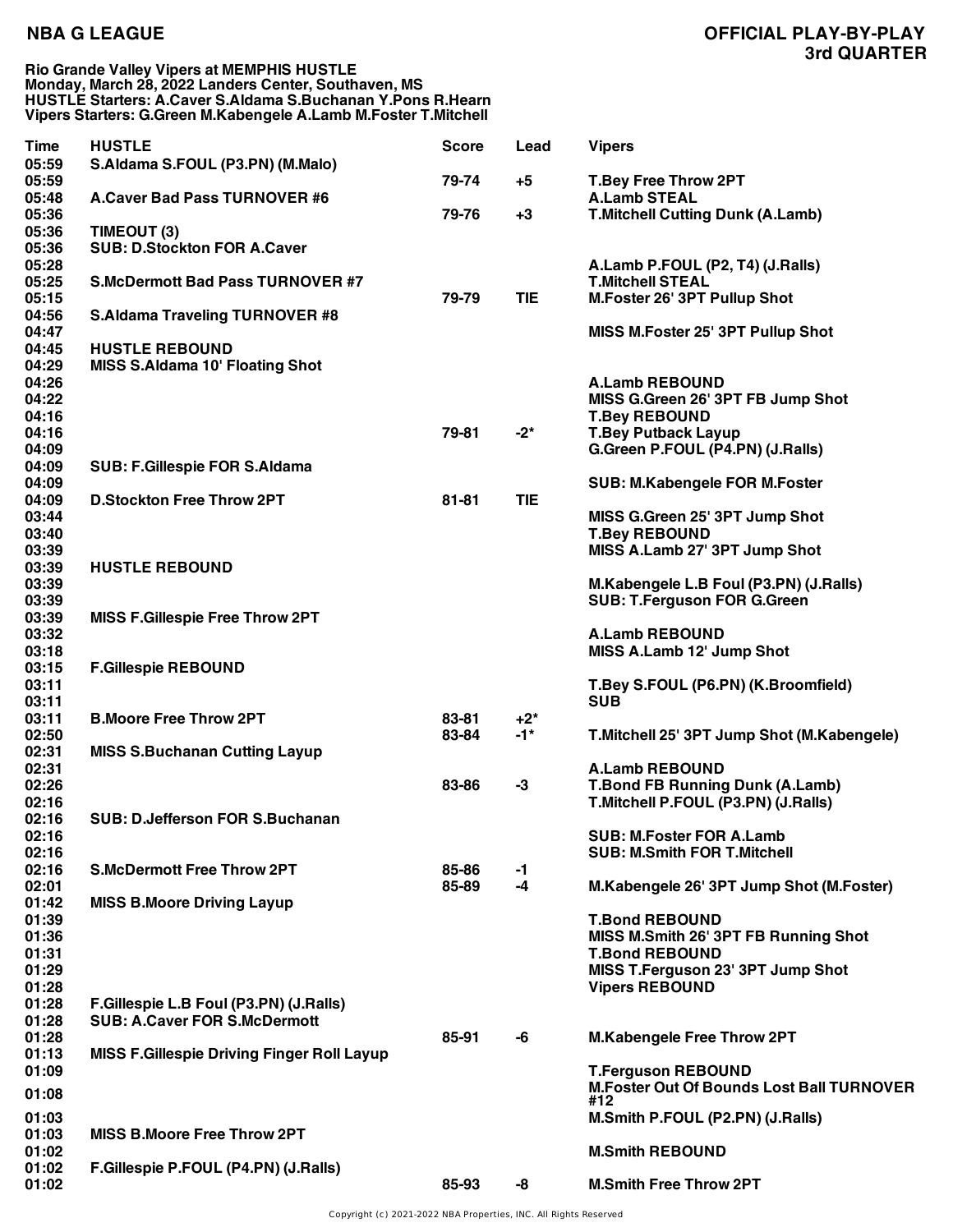**Rio Grande Valley Vipers at MEMPHIS HUSTLE Monday, March 28, 2022 Landers Center, Southaven, MS HUSTLE Starters: A.Caver S.Aldama S.Buchanan Y.Pons R.Hearn Vipers Starters: G.Green M.Kabengele A.Lamb M.Foster T.Mitchell**

| <b>Time</b>    | <b>HUSTLE</b>                                     | <b>Score</b> | Lead       | <b>Vipers</b>                                                                 |
|----------------|---------------------------------------------------|--------------|------------|-------------------------------------------------------------------------------|
| 05:59          | S.Aldama S.FOUL (P3.PN) (M.Malo)                  |              |            |                                                                               |
| 05:59          |                                                   | 79-74        | $+5$       | <b>T.Bey Free Throw 2PT</b>                                                   |
| 05:48<br>05:36 | A.Caver Bad Pass TURNOVER #6                      | 79-76        | $+3$       | <b>A.Lamb STEAL</b><br><b>T.Mitchell Cutting Dunk (A.Lamb)</b>                |
| 05:36          | TIMEOUT (3)                                       |              |            |                                                                               |
| 05:36          | <b>SUB: D.Stockton FOR A.Caver</b>                |              |            |                                                                               |
| 05:28          |                                                   |              |            | A.Lamb P.FOUL (P2, T4) (J.Ralls)                                              |
| 05:25          | <b>S.McDermott Bad Pass TURNOVER #7</b>           |              |            | <b>T.Mitchell STEAL</b>                                                       |
| 05:15<br>04:56 |                                                   | 79-79        | <b>TIE</b> | M.Foster 26' 3PT Pullup Shot                                                  |
| 04:47          | <b>S.Aldama Traveling TURNOVER #8</b>             |              |            | MISS M.Foster 25' 3PT Pullup Shot                                             |
| 04:45          | <b>HUSTLE REBOUND</b>                             |              |            |                                                                               |
| 04:29          | <b>MISS S.Aldama 10' Floating Shot</b>            |              |            |                                                                               |
| 04:26          |                                                   |              |            | <b>A.Lamb REBOUND</b>                                                         |
| 04:22          |                                                   |              |            | MISS G.Green 26' 3PT FB Jump Shot                                             |
| 04:16<br>04:16 |                                                   | 79-81        | $-2^{*}$   | <b>T.Bey REBOUND</b>                                                          |
| 04:09          |                                                   |              |            | <b>T.Bey Putback Layup</b><br>G.Green P.FOUL (P4.PN) (J.Ralls)                |
| 04:09          | <b>SUB: F.Gillespie FOR S.Aldama</b>              |              |            |                                                                               |
| 04:09          |                                                   |              |            | <b>SUB: M.Kabengele FOR M.Foster</b>                                          |
| 04:09          | <b>D.Stockton Free Throw 2PT</b>                  | $81 - 81$    | <b>TIE</b> |                                                                               |
| 03:44          |                                                   |              |            | MISS G.Green 25' 3PT Jump Shot                                                |
| 03:40          |                                                   |              |            | <b>T.Bey REBOUND</b>                                                          |
| 03:39<br>03:39 |                                                   |              |            | MISS A.Lamb 27' 3PT Jump Shot                                                 |
| 03:39          | <b>HUSTLE REBOUND</b>                             |              |            | M.Kabengele L.B Foul (P3.PN) (J.Ralls)                                        |
| 03:39          |                                                   |              |            | <b>SUB: T.Ferguson FOR G.Green</b>                                            |
| 03:39          | <b>MISS F.Gillespie Free Throw 2PT</b>            |              |            |                                                                               |
| 03:32          |                                                   |              |            | <b>A.Lamb REBOUND</b>                                                         |
| 03:18          |                                                   |              |            | MISS A.Lamb 12' Jump Shot                                                     |
| 03:15          | <b>F.Gillespie REBOUND</b>                        |              |            |                                                                               |
| 03:11<br>03:11 |                                                   |              |            | T.Bey S.FOUL (P6.PN) (K.Broomfield)<br><b>SUB</b>                             |
| 03:11          | <b>B.Moore Free Throw 2PT</b>                     | 83-81        | $+2^*$     |                                                                               |
| 02:50          |                                                   | 83-84        | $-1*$      | T.Mitchell 25' 3PT Jump Shot (M.Kabengele)                                    |
| 02:31          | <b>MISS S.Buchanan Cutting Layup</b>              |              |            |                                                                               |
| 02:31          |                                                   |              |            | <b>A.Lamb REBOUND</b>                                                         |
| 02:26          |                                                   | 83-86        | $-3$       | <b>T.Bond FB Running Dunk (A.Lamb)</b><br>T.Mitchell P.FOUL (P3.PN) (J.Ralls) |
| 02:16<br>02:16 | <b>SUB: D.Jefferson FOR S.Buchanan</b>            |              |            |                                                                               |
| 02:16          |                                                   |              |            | <b>SUB: M.Foster FOR A.Lamb</b>                                               |
| 02:16          |                                                   |              |            | <b>SUB: M.Smith FOR T.Mitchell</b>                                            |
| 02:16          | <b>S.McDermott Free Throw 2PT</b>                 | 85-86        | $-1$       |                                                                               |
| 02:01          |                                                   | 85-89        | $-4$       | M.Kabengele 26' 3PT Jump Shot (M.Foster)                                      |
| 01:42<br>01:39 | <b>MISS B.Moore Driving Layup</b>                 |              |            | <b>T.Bond REBOUND</b>                                                         |
| 01:36          |                                                   |              |            | MISS M.Smith 26' 3PT FB Running Shot                                          |
| 01:31          |                                                   |              |            | <b>T.Bond REBOUND</b>                                                         |
| 01:29          |                                                   |              |            | MISS T.Ferguson 23' 3PT Jump Shot                                             |
| 01:28          |                                                   |              |            | <b>Vipers REBOUND</b>                                                         |
| 01:28          | F.Gillespie L.B Foul (P3.PN) (J.Ralls)            |              |            |                                                                               |
| 01:28          | <b>SUB: A.Caver FOR S.McDermott</b>               |              |            |                                                                               |
| 01:28<br>01:13 | <b>MISS F.Gillespie Driving Finger Roll Layup</b> | 85-91        | -6         | <b>M.Kabengele Free Throw 2PT</b>                                             |
| 01:09          |                                                   |              |            | <b>T.Ferguson REBOUND</b>                                                     |
|                |                                                   |              |            | <b>M.Foster Out Of Bounds Lost Ball TURNOVER</b>                              |
| 01:08          |                                                   |              |            | #12                                                                           |
| 01:03          |                                                   |              |            | M.Smith P.FOUL (P2.PN) (J.Ralls)                                              |
| 01:03<br>01:02 | <b>MISS B.Moore Free Throw 2PT</b>                |              |            | <b>M.Smith REBOUND</b>                                                        |
| 01:02          | F.Gillespie P.FOUL (P4.PN) (J.Ralls)              |              |            |                                                                               |
| 01:02          |                                                   | 85-93        | -8         | <b>M.Smith Free Throw 2PT</b>                                                 |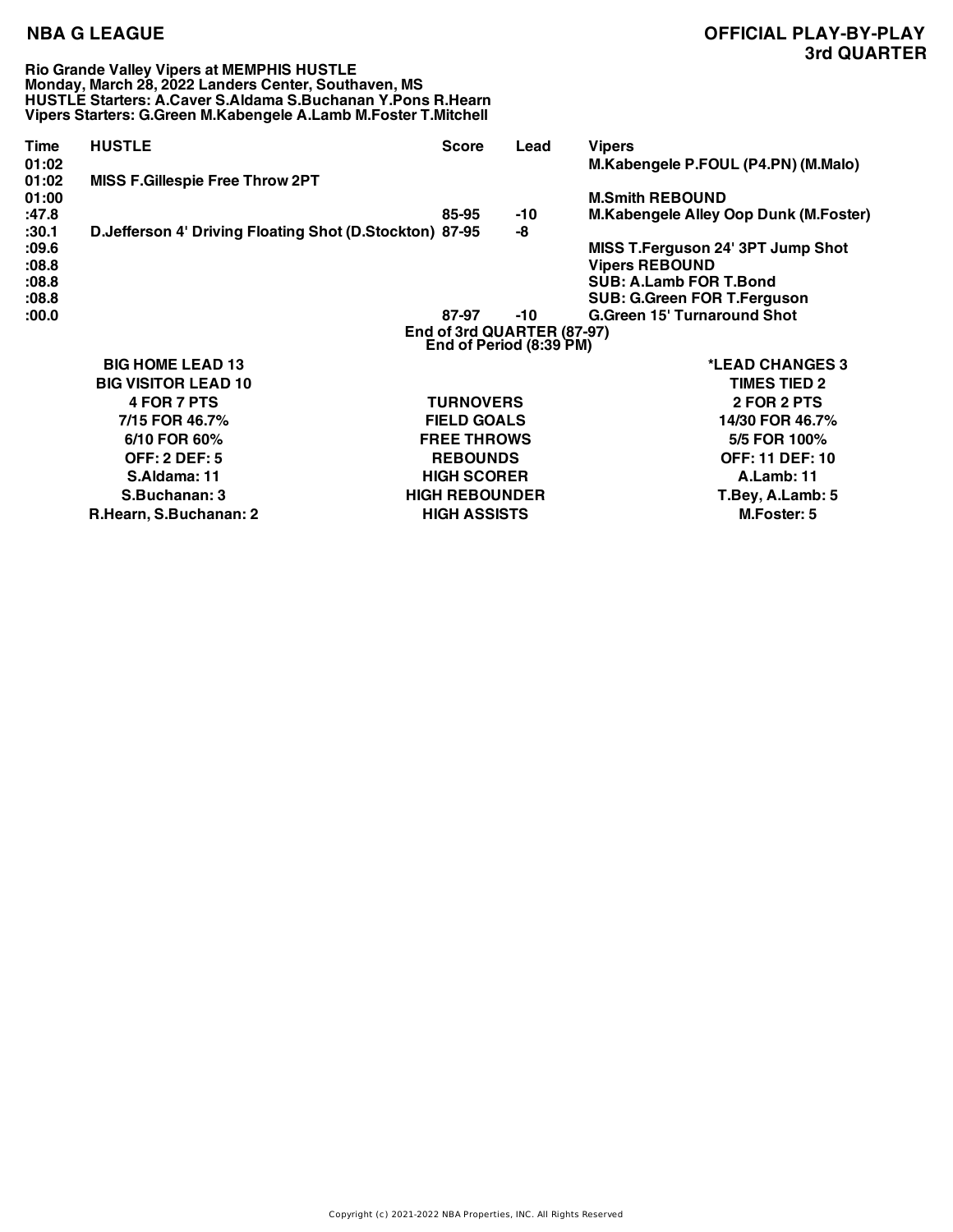**Rio Grande Valley Vipers at MEMPHIS HUSTLE Monday, March 28, 2022 Landers Center, Southaven, MS HUSTLE Starters: A.Caver S.Aldama S.Buchanan Y.Pons R.Hearn Vipers Starters: G.Green M.Kabengele A.Lamb M.Foster T.Mitchell**

| Time<br>01:02<br>01:02<br>01:00  | <b>HUSTLE</b>                                           | <b>Score</b>                                 | Lead      | <b>Vipers</b><br>M.Kabengele P.FOUL (P4.PN) (M.Malo)                                                |  |  |
|----------------------------------|---------------------------------------------------------|----------------------------------------------|-----------|-----------------------------------------------------------------------------------------------------|--|--|
|                                  | <b>MISS F.Gillespie Free Throw 2PT</b>                  |                                              |           | <b>M.Smith REBOUND</b>                                                                              |  |  |
| :47.8<br>:30.1<br>:09.6<br>:08.8 | D.Jefferson 4' Driving Floating Shot (D.Stockton) 87-95 | 85-95                                        | -10<br>-8 | M.Kabengele Alley Oop Dunk (M.Foster)<br>MISS T.Ferguson 24' 3PT Jump Shot<br><b>Vipers REBOUND</b> |  |  |
| :08.8<br>:08.8<br>:00.0          |                                                         | 87-97                                        | -10       | SUB: A.Lamb FOR T.Bond<br><b>SUB: G.Green FOR T.Ferguson</b><br><b>G.Green 15' Turnaround Shot</b>  |  |  |
|                                  | End of 3rd QUARTER (87-97)<br>End of Period (8:39 PM)   |                                              |           |                                                                                                     |  |  |
|                                  | <b>BIG HOME LEAD 13</b><br><b>BIG VISITOR LEAD 10</b>   |                                              |           | *LEAD CHANGES 3<br><b>TIMES TIED 2</b>                                                              |  |  |
|                                  | <b>4 FOR 7 PTS</b>                                      | <b>TURNOVERS</b>                             |           | 2 FOR 2 PTS                                                                                         |  |  |
|                                  | 7/15 FOR 46.7%<br>6/10 FOR 60%                          | <b>FIELD GOALS</b><br><b>FREE THROWS</b>     |           | 14/30 FOR 46.7%<br>5/5 FOR 100%                                                                     |  |  |
|                                  | <b>OFF: 2 DEF: 5</b><br>S.Aldama: 11                    | <b>REBOUNDS</b><br><b>HIGH SCORER</b>        |           | <b>OFF: 11 DEF: 10</b><br><b>A.Lamb: 11</b>                                                         |  |  |
|                                  | S.Buchanan: 3<br>R.Hearn, S.Buchanan: 2                 | <b>HIGH REBOUNDER</b><br><b>HIGH ASSISTS</b> |           | T.Bey, A.Lamb: 5<br>M.Foster: 5                                                                     |  |  |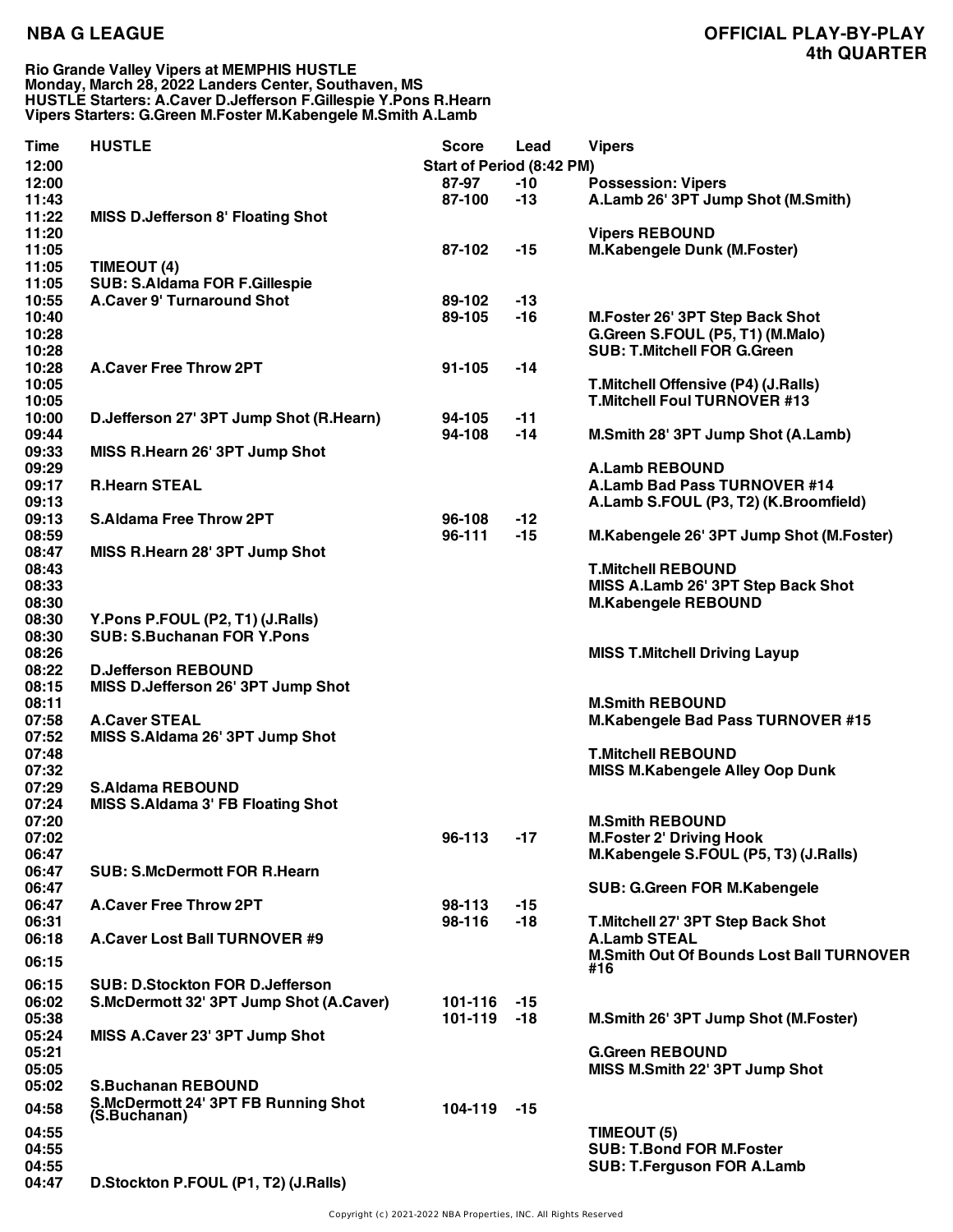### **Rio Grande Valley Vipers at MEMPHIS HUSTLE Monday, March 28, 2022 Landers Center, Southaven, MS HUSTLE Starters: A.Caver D.Jefferson F.Gillespie Y.Pons R.Hearn Vipers Starters: G.Green M.Foster M.Kabengele M.Smith A.Lamb**

| <b>Time</b> | <b>HUSTLE</b>                            | <b>Score</b>                     | Lead  | <b>Vipers</b>                                   |
|-------------|------------------------------------------|----------------------------------|-------|-------------------------------------------------|
| 12:00       |                                          | <b>Start of Period (8:42 PM)</b> |       |                                                 |
| 12:00       |                                          | 87-97                            | $-10$ | <b>Possession: Vipers</b>                       |
| 11:43       |                                          | 87-100                           | $-13$ | A.Lamb 26' 3PT Jump Shot (M.Smith)              |
| 11:22       | <b>MISS D.Jefferson 8' Floating Shot</b> |                                  |       |                                                 |
| 11:20       |                                          |                                  |       | <b>Vipers REBOUND</b>                           |
| 11:05       |                                          | 87-102                           | $-15$ | M.Kabengele Dunk (M.Foster)                     |
| 11:05       | TIMEOUT (4)                              |                                  |       |                                                 |
| 11:05       | <b>SUB: S.Aldama FOR F.Gillespie</b>     |                                  |       |                                                 |
| 10:55       | <b>A.Caver 9' Turnaround Shot</b>        | 89-102                           | $-13$ |                                                 |
| 10:40       |                                          | 89-105                           | $-16$ | M.Foster 26' 3PT Step Back Shot                 |
| 10:28       |                                          |                                  |       | G.Green S.FOUL (P5, T1) (M.Malo)                |
| 10:28       |                                          |                                  |       | <b>SUB: T.Mitchell FOR G.Green</b>              |
| 10:28       | <b>A.Caver Free Throw 2PT</b>            | 91-105                           | -14   |                                                 |
| 10:05       |                                          |                                  |       | T.Mitchell Offensive (P4) (J.Ralls)             |
| 10:05       |                                          |                                  |       | <b>T.Mitchell Foul TURNOVER #13</b>             |
| 10:00       | D.Jefferson 27' 3PT Jump Shot (R.Hearn)  | 94-105                           | $-11$ |                                                 |
| 09:44       |                                          | 94-108                           | $-14$ | M.Smith 28' 3PT Jump Shot (A.Lamb)              |
| 09:33       | MISS R.Hearn 26' 3PT Jump Shot           |                                  |       |                                                 |
| 09:29       |                                          |                                  |       | <b>A.Lamb REBOUND</b>                           |
| 09:17       | <b>R.Hearn STEAL</b>                     |                                  |       | A.Lamb Bad Pass TURNOVER #14                    |
| 09:13       |                                          |                                  |       | A.Lamb S.FOUL (P3, T2) (K.Broomfield)           |
| 09:13       | <b>S.Aldama Free Throw 2PT</b>           | 96-108                           | $-12$ |                                                 |
| 08:59       |                                          | 96-111                           | $-15$ | M.Kabengele 26' 3PT Jump Shot (M.Foster)        |
| 08:47       | MISS R.Hearn 28' 3PT Jump Shot           |                                  |       |                                                 |
| 08:43       |                                          |                                  |       | <b>T.Mitchell REBOUND</b>                       |
| 08:33       |                                          |                                  |       | MISS A.Lamb 26' 3PT Step Back Shot              |
| 08:30       |                                          |                                  |       | <b>M.Kabengele REBOUND</b>                      |
| 08:30       | Y.Pons P.FOUL (P2, T1) (J.Ralls)         |                                  |       |                                                 |
| 08:30       | <b>SUB: S.Buchanan FOR Y.Pons</b>        |                                  |       |                                                 |
| 08:26       |                                          |                                  |       | <b>MISS T.Mitchell Driving Layup</b>            |
| 08:22       | <b>D.Jefferson REBOUND</b>               |                                  |       |                                                 |
| 08:15       | MISS D.Jefferson 26' 3PT Jump Shot       |                                  |       |                                                 |
| 08:11       |                                          |                                  |       | <b>M.Smith REBOUND</b>                          |
| 07:58       | <b>A.Caver STEAL</b>                     |                                  |       | <b>M.Kabengele Bad Pass TURNOVER #15</b>        |
| 07:52       | MISS S.Aldama 26' 3PT Jump Shot          |                                  |       |                                                 |
| 07:48       |                                          |                                  |       | <b>T.Mitchell REBOUND</b>                       |
| 07:32       |                                          |                                  |       | <b>MISS M.Kabengele Alley Oop Dunk</b>          |
| 07:29       | <b>S.Aldama REBOUND</b>                  |                                  |       |                                                 |
| 07:24       | <b>MISS S.Aldama 3' FB Floating Shot</b> |                                  |       |                                                 |
| 07:20       |                                          |                                  |       | <b>M.Smith REBOUND</b>                          |
| 07:02       |                                          | 96-113                           | $-17$ | <b>M.Foster 2' Driving Hook</b>                 |
| 06:47       |                                          |                                  |       | M.Kabengele S.FOUL (P5, T3) (J.Ralls)           |
| 06:47       | <b>SUB: S.McDermott FOR R.Hearn</b>      |                                  |       |                                                 |
| 06:47       |                                          |                                  |       | <b>SUB: G.Green FOR M.Kabengele</b>             |
| 06:47       | <b>A.Caver Free Throw 2PT</b>            | 98-113                           | $-15$ |                                                 |
| 06:31       |                                          | 98-116                           | $-18$ | T.Mitchell 27' 3PT Step Back Shot               |
| 06:18       | <b>A.Caver Lost Ball TURNOVER #9</b>     |                                  |       | <b>A.Lamb STEAL</b>                             |
|             |                                          |                                  |       | <b>M.Smith Out Of Bounds Lost Ball TURNOVER</b> |
| 06:15       |                                          |                                  |       | #16                                             |
| 06:15       | <b>SUB: D.Stockton FOR D.Jefferson</b>   |                                  |       |                                                 |
| 06:02       | S.McDermott 32' 3PT Jump Shot (A.Caver)  | 101-116                          | $-15$ |                                                 |
| 05:38       |                                          | 101-119                          | $-18$ | M.Smith 26' 3PT Jump Shot (M.Foster)            |
| 05:24       | MISS A.Caver 23' 3PT Jump Shot           |                                  |       |                                                 |
| 05:21       |                                          |                                  |       | <b>G.Green REBOUND</b>                          |
| 05:05       |                                          |                                  |       | MISS M.Smith 22' 3PT Jump Shot                  |
| 05:02       | <b>S.Buchanan REBOUND</b>                |                                  |       |                                                 |
|             | S.McDermott 24' 3PT FB Running Shot      |                                  |       |                                                 |
| 04:58       | (S.Buchanan)                             | 104-119                          | $-15$ |                                                 |
| 04:55       |                                          |                                  |       | TIMEOUT (5)                                     |
| 04:55       |                                          |                                  |       | <b>SUB: T.Bond FOR M.Foster</b>                 |
| 04:55       |                                          |                                  |       | <b>SUB: T.Ferguson FOR A.Lamb</b>               |
| 04:47       | D.Stockton P.FOUL (P1, T2) (J.Ralls)     |                                  |       |                                                 |